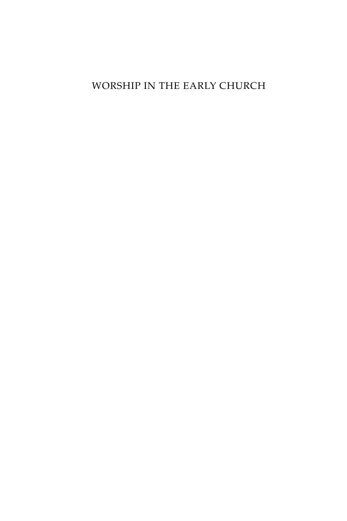# Worship in the Early Church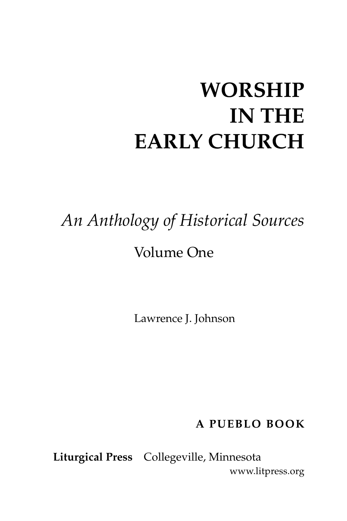# **Worship in THE Early Church**

# *An Anthology of Historical Sources* Volume One

Lawrence J. Johnson

**A PUEBLO BOOK**

**Liturgical Press** Collegeville, Minnesota www.litpress.org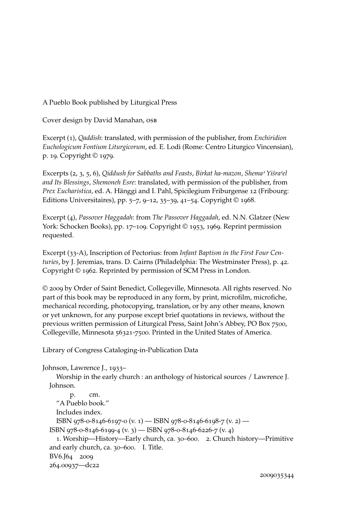A Pueblo Book published by Liturgical Press

Cover design by David Manahan, OSB

Excerpt (1), *Qaddish*: translated, with permission of the publisher, from *Enchiridion Euchologicum Fontium Liturgicorum*, ed. E. Lodi (Rome: Centro Liturgico Vincensian), p. 19. Copyright © 1979.

Excerpts (2, 3, 5, 6), *Qiddush for Sabbaths and Feasts*, *Birkat ha-mazon*, *Shema*<sup>2</sup> *Yiśra<sup><i>cel*</sup> *and Its Blessings*, *Shemoneh Esre*: translated, with permission of the publisher, from *Prex Eucharistica*, ed. A. Hänggi and I. Pahl, Spicilegium Friburgense 12 (Fribourg: Editions Universitaires), pp. 5–7, 9–12, 35–39, 41–54. Copyright © 1968.

Excerpt (4), *Passover Haggadah*: from *The Passover Haggadah*, ed. N.N. Glatzer (New York: Schocken Books), pp. 17–109. Copyright © 1953, 1969. Reprint permission requested.

Excerpt (33-A), Inscription of Pectorius: from *Infant Baptism in the First Four Centuries*, by J. Jeremias, trans. D. Cairns (Philadelphia: The Westminster Press), p. 42. Copyright © 1962. Reprinted by permission of SCM Press in London.

© 2009 by Order of Saint Benedict, Collegeville, Minnesota. All rights reserved. No part of this book may be reproduced in any form, by print, microfilm, microfiche, mechanical recording, photocopying, translation, or by any other means, known or yet unknown, for any purpose except brief quotations in reviews, without the previous written permission of Liturgical Press, Saint John's Abbey, PO Box 7500, Collegeville, Minnesota 56321-7500. Printed in the United States of America.

Library of Congress Cataloging-in-Publication Data

```
Johnson, Lawrence J., 1933–
     Worship in the early church : an anthology of historical sources / Lawrence J.
  Johnson.
         p. cm.
     "A Pueblo book."
      Includes index.
      ISBN 978-0-8146-6197-0 (v. 1) — ISBN 978-0-8146-6198-7 (v. 2) — 
   ISBN 978-0-8146-6199-4 (v. 3) — ISBN 978-0-8146-6226-7 (v. 4)
     1. Worship—History—Early church, ca. 30–600. 2. Church history—Primitive
  and early church, ca. 30–600. I. Title.
  BV6.J64 2009
  264.00937—dc22
```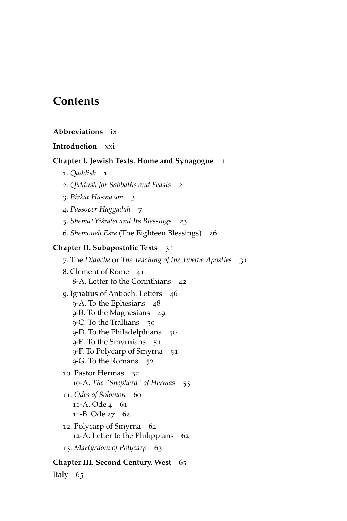# **Contents**

# **Abbreviations** ix **Introduction** xxi **Chapter I. Jewish Texts. Home and Synagogue** 1 1. *Qaddish* 1 2. *Qiddush for Sabbaths and Feasts* 2 3. *Birkat Ha-mazon* 3 4. *Passover Haggadah* 7 5. *Shema< Yi∞ra>el and Its Blessings* 23 6. *Shemoneh Esre* (The Eighteen Blessings) 26 **Chapter II. Subapostolic Texts** 31 7. The *Didache* or *The Teaching of the Twelve Apostles* 31 8. Clement of Rome 41 8-A. Letter to the Corinthians 42 9. Ignatius of Antioch. Letters 46 9-A. To the Ephesians 48 9-B. To the Magnesians 49 9-C. To the Trallians 50 9-D. To the Philadelphians 50 9-E. To the Smyrnians 51 9-F. To Polycarp of Smyrna 51 9-G. To the Romans 52 10. Pastor Hermas 52 10-A. *The "Shepherd" of Hermas* 53 11. *Odes of Solomon* 60 11-A. Ode 4 61 11-B. Ode 27 62 12. Polycarp of Smyrna 62 12-A. Letter to the Philippians 62 13. *Martyrdom of Polycarp* 63 **Chapter III. Second Century. West** 65

Italy 65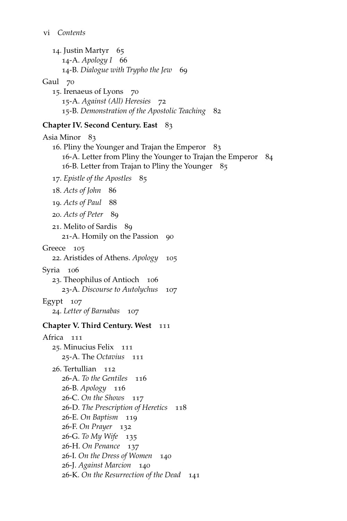14. Justin Martyr 65 14-A. *Apology I* 66 14-B. *Dialogue with Trypho the Jew* 69

# Gaul 70

15. Irenaeus of Lyons 70 15-A. *Against (All) Heresies* 72 15-B. *Demonstration of the Apostolic Teaching* 82

# **Chapter IV. Second Century. East** 83

```
Asia Minor 83
  16. Pliny the Younger and Trajan the Emperor 83
     16-A. Letter from Pliny the Younger to Trajan the Emperor 84
     16-B. Letter from Trajan to Pliny the Younger 85
  17. Epistle of the Apostles 85
  18. Acts of John 86
  19. Acts of Paul 88
  20. Acts of Peter 89
  21. Melito of Sardis 89
     21-A. Homily on the Passion 90
Greece 105
  22. Aristides of Athens. Apology 105
Syria 106
  23. Theophilus of Antioch 106
     23-A. Discourse to Autolychus 107
Egypt 107
  24. Letter of Barnabas 107
Chapter V. Third Century. West 111
Africa 111
  25. Minucius Felix 111
     25-A. The Octavius 111
  26. Tertullian 112
     26-A. To the Gentiles 116
     26-B. Apology 116
     26-C. On the Shows 117
     26-D. The Prescription of Heretics 118
     26-E. On Baptism 119
     26-F. On Prayer 132
     26-G. To My Wife 135
     26-H. On Penance 137
     26-I. On the Dress of Women 140
     26-J. Against Marcion 140
     26-K. On the Resurrection of the Dead 141
```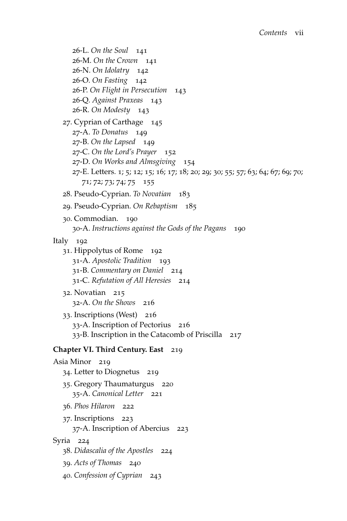26-L. *On the Soul* 141 26-M. *On the Crown* 141 26-N. *On Idolatry* 142 26-O. *On Fasting* 142 26-P. *On Flight in Persecution* 143 26-Q. *Against Praxeas* 143 26-R. *On Modesty* 143 27. Cyprian of Carthage 145 27-A. *To Donatus* 149 27-B. *On the Lapsed* 149 27-C. *On the Lord's Prayer* 152 27-D. *On Works and Almsgiving* 154 27-E. Letters. 1; 5; 12; 15; 16; 17; 18; 20; 29; 30; 55; 57; 63; 64; 67; 69; 70; 71; 72; 73; 74; 75 155 28. Pseudo-Cyprian. *To Novatian* 183 29. Pseudo-Cyprian. *On Rebaptism* 185 30. Commodian. 190 30-A. *Instructions against the Gods of the Pagans* 190 Italy 192 31. Hippolytus of Rome 192 31-A. *Apostolic Tradition* 193 31-B. *Commentary on Daniel* 214 31-C. *Refutation of All Heresies* 214 32. Novatian 215 32-A. *On the Shows* 216 33. Inscriptions (West) 216 33-A. Inscription of Pectorius 216 33-B. Inscription in the Catacomb of Priscilla 217 **Chapter VI. Third Century. East** 219 Asia Minor 219 34. Letter to Diognetus 219 35. Gregory Thaumaturgus 220 35-A. *Canonical Letter* 221 36. *Phos Hilaron* 222 37. Inscriptions 223 37-A. Inscription of Abercius 223 Syria 224 38. *Didascalia of the Apostles* 224 39. *Acts of Thomas* 240 40. *Confession of Cyprian* 243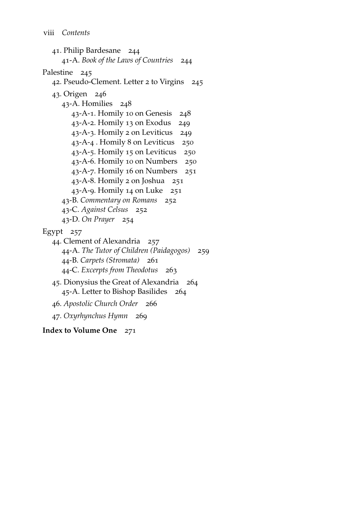41. Philip Bardesane 244 41-A. *Book of the Laws of Countries* 244 Palestine 245 42. Pseudo-Clement. Letter 2 to Virgins 245 43. Origen 246 43-A. Homilies 248 43-A-1. Homily 10 on Genesis 248 43-A-2. Homily 13 on Exodus 249 43-A-3. Homily 2 on Leviticus 249 43-A-4 . Homily 8 on Leviticus 250 43-A-5. Homily 15 on Leviticus 250 43-A-6. Homily 10 on Numbers 250 43-A-7. Homily 16 on Numbers 251 43-A-8. Homily 2 on Joshua 251 43-A-9. Homily 14 on Luke 251 43-B. *Commentary on Romans* 252 43-C. *Against Celsus* 252 43-D. *On Prayer* 254 Egypt 257 44. Clement of Alexandria 257 44-A. *The Tutor of Children (Paidagogos)* 259 44-B. *Carpets (Stromata)* 261 44-C. *Excerpts from Theodotus* 263 45. Dionysius the Great of Alexandria 264 45-A. Letter to Bishop Basilides 264 46. *Apostolic Church Order* 266 47. *Oxyrhynchus Hymn* 269 **Index to Volume One** 271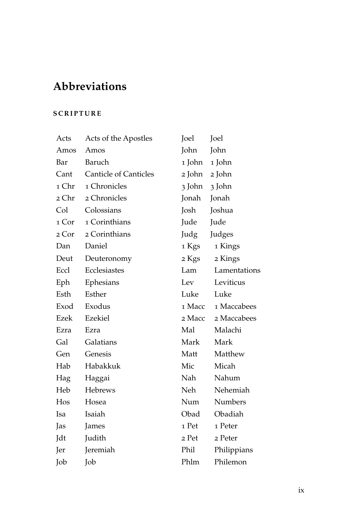# **Abbreviations**

# **Sc ripture**

| Acts  | Acts of the Apostles         | Joel   | Joel           |
|-------|------------------------------|--------|----------------|
| Amos  | Amos                         | John   | John           |
| Bar   | Baruch                       | 1 John | 1 John         |
| Cant  | <b>Canticle of Canticles</b> | 2 John | 2 John         |
| 1 Chr | 1 Chronicles                 | 3 John | 3 John         |
| 2 Chr | 2 Chronicles                 | Jonah  | Jonah          |
| Col   | Colossians                   | Josh   | Joshua         |
| 1 Cor | 1 Corinthians                | Jude   | Jude           |
| 2 Cor | 2 Corinthians                | Judg   | Judges         |
| Dan   | Daniel                       | 1 Kgs  | 1 Kings        |
| Deut  | Deuteronomy                  | 2 Kgs  | 2 Kings        |
| Eccl  | Ecclesiastes                 | Lam    | Lamentations   |
| Eph   | Ephesians                    | Lev    | Leviticus      |
| Esth  | Esther                       | Luke   | Luke           |
| Exod  | Exodus                       | 1 Macc | 1 Maccabees    |
| Ezek  | Ezekiel                      | 2 Macc | 2 Maccabees    |
| Ezra  | Ezra                         | Mal    | Malachi        |
| Gal   | Galatians                    | Mark   | Mark           |
| Gen   | Genesis                      | Matt   | Matthew        |
| Hab   | Habakkuk                     | Mic    | Micah          |
| Hag   | Haggai                       | Nah    | Nahum          |
| Heb   | <b>Hebrews</b>               | Neh    | Nehemiah       |
| Hos   | Hosea                        | Num    | <b>Numbers</b> |
| Isa   | Isaiah                       | Obad   | Obadiah        |
| Jas   | James                        | 1 Pet  | 1 Peter        |
| Jdt   | Judith                       | 2 Pet  | 2 Peter        |
| Jer   | Jeremiah                     | Phil   | Philippians    |
| Job   | Job                          | Phlm   | Philemon       |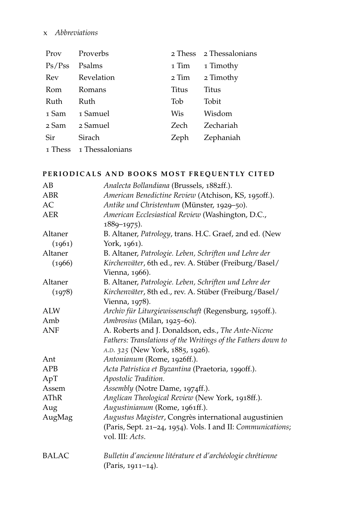| Prov    | Proverbs        |       | 2 Thess 2 Thessalonians |
|---------|-----------------|-------|-------------------------|
| Ps/Pss  | Psalms          | 1 Tim | 1 Timothy               |
| Rev     | Revelation      | 2 Tim | 2 Timothy               |
| Rom     | Romans          | Titus | Titus                   |
| Ruth    | Ruth            | Tob   | Tobit                   |
| 1 Sam   | 1 Samuel        | Wis   | Wisdom                  |
| 2 Sam   | 2 Samuel        | Zech  | Zechariah               |
| Sir     | Sirach          | Zeph  | Zephaniah               |
| 1 Thess | 1 Thessalonians |       |                         |

# **PERIODICALS AND BOOKS MOST FREQUENTLY CITED**

| AB           | Analecta Bollandiana (Brussels, 1882ff.).                    |
|--------------|--------------------------------------------------------------|
| <b>ABR</b>   | American Benedictine Review (Atchison, KS, 1950ff.).         |
| AC           | Antike und Christentum (Münster, 1929-50).                   |
| <b>AER</b>   | American Ecclesiastical Review (Washington, D.C.,            |
|              | $1889 - 1975$ ).                                             |
| Altaner      | B. Altaner, Patrology, trans. H.C. Graef, 2nd ed. (New       |
| (1961)       | York, 1961).                                                 |
| Altaner      | B. Altaner, Patrologie. Leben, Schriften und Lehre der       |
| (1966)       | Kirchenväter, 6th ed., rev. A. Stüber (Freiburg/Basel/       |
|              | Vienna, 1966).                                               |
| Altaner      | B. Altaner, Patrologie. Leben, Schriften und Lehre der       |
| (1978)       | Kirchenväter, 8th ed., rev. A. Stüber (Freiburg/Basel/       |
|              | Vienna, 1978).                                               |
| <b>ALW</b>   | Archiv für Liturgiewissenschaft (Regensburg, 1950ff.).       |
| Amb          | Ambrosius (Milan, 1925-60).                                  |
| <b>ANF</b>   | A. Roberts and J. Donaldson, eds., The Ante-Nicene           |
|              | Fathers: Translations of the Writings of the Fathers down to |
|              | A.D. 325 (New York, 1885, 1926).                             |
| Ant          | Antonianum (Rome, 1926ff.).                                  |
| APB          | Acta Patristica et Byzantina (Praetoria, 1990ff.).           |
| ApT          | Apostolic Tradition.                                         |
| Assem        | Assembly (Notre Dame, 1974ff.).                              |
| AThR         | Anglican Theological Review (New York, 1918ff.).             |
| Aug          | Augustinianum (Rome, 1961ff.).                               |
| AugMag       | Augustus Magister, Congrès international augustinien         |
|              | (Paris, Sept. 21-24, 1954). Vols. I and II: Communications;  |
|              | vol. III: Acts.                                              |
| <b>BALAC</b> | Bulletin d'ancienne litérature et d'archéologie chrétienne   |
|              | (Paris, 1911-14).                                            |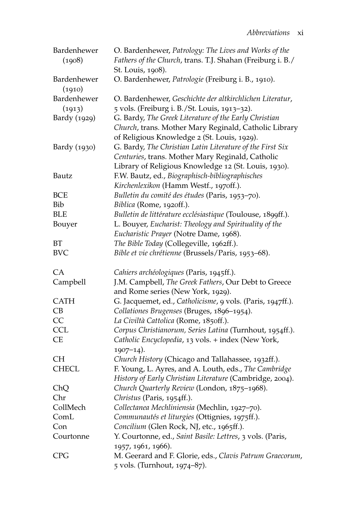| Bardenhewer<br>(1908)           | O. Bardenhewer, Patrology: The Lives and Works of the<br>Fathers of the Church, trans. T.J. Shahan (Freiburg i. B./                                                   |
|---------------------------------|-----------------------------------------------------------------------------------------------------------------------------------------------------------------------|
| Bardenhewer                     | St. Louis, 1908).<br>O. Bardenhewer, Patrologie (Freiburg i. B., 1910).                                                                                               |
| (1910)<br>Bardenhewer<br>(1913) | O. Bardenhewer, Geschichte der altkirchlichen Literatur,<br>5 vols. (Freiburg i. B./St. Louis, 1913-32).                                                              |
| Bardy (1929)                    | G. Bardy, The Greek Literature of the Early Christian<br>Church, trans. Mother Mary Reginald, Catholic Library<br>of Religious Knowledge 2 (St. Louis, 1929).         |
| Bardy (1930)                    | G. Bardy, The Christian Latin Literature of the First Six<br>Centuries, trans. Mother Mary Reginald, Catholic<br>Library of Religious Knowledge 12 (St. Louis, 1930). |
| Bautz                           | F.W. Bautz, ed., Biographisch-bibliographisches<br>Kirchenlexikon (Hamm Westf., 1970ff.).                                                                             |
| BCE                             | Bulletin du comité des études (Paris, 1953-70).                                                                                                                       |
| Bib                             | Biblica (Rome, 1920ff.).                                                                                                                                              |
| <b>BLE</b>                      | Bulletin de littérature ecclésiastique (Toulouse, 1899ff.).                                                                                                           |
| Bouyer                          | L. Bouyer, Eucharist: Theology and Spirituality of the<br>Eucharistic Prayer (Notre Dame, 1968).                                                                      |
| BТ                              | The Bible Today (Collegeville, 1962ff.).                                                                                                                              |
| <b>BVC</b>                      | Bible et vie chrétienne (Brussels/Paris, 1953-68).                                                                                                                    |
| СA                              | Cahiers archéologiques (Paris, 1945ff.).                                                                                                                              |
| Campbell                        | J.M. Campbell, The Greek Fathers, Our Debt to Greece<br>and Rome series (New York, 1929).                                                                             |
| <b>CATH</b>                     | G. Jacquemet, ed., Catholicisme, 9 vols. (Paris, 1947ff.).                                                                                                            |
| CB                              | Collationes Brugenses (Bruges, 1896-1954).                                                                                                                            |
| CC                              | La Civiltà Cattolica (Rome, 1850ff.).                                                                                                                                 |
| <b>CCL</b>                      | Corpus Christianorum, Series Latina (Turnhout, 1954ff.).                                                                                                              |
| CE                              | Catholic Encyclopedia, 13 vols. + index (New York,<br>$1907 - 14$ ).                                                                                                  |
| СH                              | Church History (Chicago and Tallahassee, 1932ff.).                                                                                                                    |
| <b>CHECL</b>                    | F. Young, L. Ayres, and A. Louth, eds., The Cambridge                                                                                                                 |
|                                 | History of Early Christian Literature (Cambridge, 2004).                                                                                                              |
| ChQ                             | Church Quarterly Review (London, 1875-1968).                                                                                                                          |
| Chr                             | Christus (Paris, 1954ff.).                                                                                                                                            |
| CollMech                        | Collectanea Mechliniensia (Mechlin, 1927-70).                                                                                                                         |
| ComL                            | Communautés et liturgies (Ottignies, 1975ff.).                                                                                                                        |
| Con                             | Concilium (Glen Rock, NJ, etc., 1965ff.).                                                                                                                             |
| Courtonne                       | Y. Courtonne, ed., Saint Basile: Lettres, 3 vols. (Paris,                                                                                                             |
| <b>CPG</b>                      | 1957, 1961, 1966).<br>M. Geerard and F. Glorie, eds., Clavis Patrum Graecorum,                                                                                        |
|                                 | 5 vols. (Turnhout, 1974-87).                                                                                                                                          |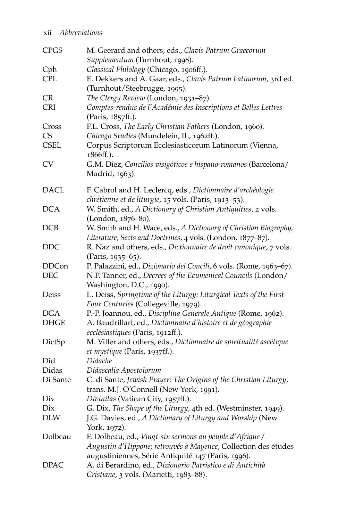| <b>CPGS</b>  | M. Geerard and others, eds., Clavis Patrum Graecorum                                                                            |
|--------------|---------------------------------------------------------------------------------------------------------------------------------|
|              | Supplementum (Turnhout, 1998).                                                                                                  |
| Cph          | Classical Philology (Chicago, 1906ff.).                                                                                         |
| CPL          | E. Dekkers and A. Gaar, eds., Clavis Patrum Latinorum, 3rd ed.                                                                  |
|              | (Turnhout/Steebrugge, 1995).                                                                                                    |
| CR           | The Clergy Review (London, 1931-87).                                                                                            |
| CRI          | Comptes-rendus de l'Académie des Inscriptions et Belles Lettres<br>(Paris, 1857ff.).                                            |
| Cross        | F.L. Cross, The Early Christian Fathers (London, 1960).                                                                         |
| <b>CS</b>    | Chicago Studies (Mundelein, IL, 1962ff.).                                                                                       |
| <b>CSEL</b>  | Corpus Scriptorum Ecclesiasticorum Latinorum (Vienna,<br>1866ff.).                                                              |
| <b>CV</b>    | G.M. Diez, Concilios visigóticos e hispano-romanos (Barcelona/<br>Madrid, 1963).                                                |
| DACL         | F. Cabrol and H. Leclercq, eds., Dictionnaire d'archéologie<br>chrétienne et de liturgie, 15 vols. (Paris, 1913-53).            |
| <b>DCA</b>   | W. Smith, ed., A Dictionary of Christian Antiquities, 2 vols.<br>(London, 1876–80).                                             |
| <b>DCB</b>   | W. Smith and H. Wace, eds., A Dictionary of Christian Biography,<br>Literature, Sects and Doctrines, 4 vols. (London, 1877-87). |
| DDC          | R. Naz and others, eds., Dictionnaire de droit canonique, 7 vols.<br>(Paris, 1935-65).                                          |
| <b>DDCon</b> | P. Palazzini, ed., Dizionario dei Concili, 6 vols. (Rome, 1963-67).                                                             |
| DEC          | N.P. Tanner, ed., Decrees of the Ecumenical Councils (London/<br>Washington, D.C., 1990).                                       |
| Deiss        | L. Deiss, Springtime of the Liturgy: Liturgical Texts of the First<br>Four Centuries (Collegeville, 1979).                      |
| DGA          | P.-P. Joannou, ed., Disciplina Generale Antique (Rome, 1962).                                                                   |
| DHGE         | A. Baudrillart, ed., Dictionnaire d'histoire et de géographie<br>ecclésiastiques (Paris, 1912ff.).                              |
| DictSp       | M. Viller and others, eds., Dictionnaire de spiritualité ascétique<br>et mystique (Paris, 1937ff.).                             |
| Did          | Didache                                                                                                                         |
| Didas        | Didascalia Apostolorum                                                                                                          |
| Di Sante     | C. di Sante, Jewish Prayer: The Origins of the Christian Liturgy,                                                               |
|              | trans. M.J. O'Connell (New York, 1991).                                                                                         |
| Div          | Divinitas (Vatican City, 1957ff.).                                                                                              |
| Dix          | G. Dix, The Shape of the Liturgy, 4th ed. (Westminster, 1949).                                                                  |
| <b>DLW</b>   | J.G. Davies, ed., A Dictionary of Liturgy and Worship (New<br>York, 1972).                                                      |
| Dolbeau      | F. Dolbeau, ed., Vingt-six sermons au peuple d'Afrique /                                                                        |
|              | Augustin d'Hippone; retrouvés à Mayence, Collection des études                                                                  |
|              | augustiniennes, Série Antiquité 147 (Paris, 1996).                                                                              |
| <b>DPAC</b>  | A. di Berardino, ed., Dizionario Patristico e di Antichità                                                                      |
|              | Cristiane, 3 vols. (Marietti, 1983-88).                                                                                         |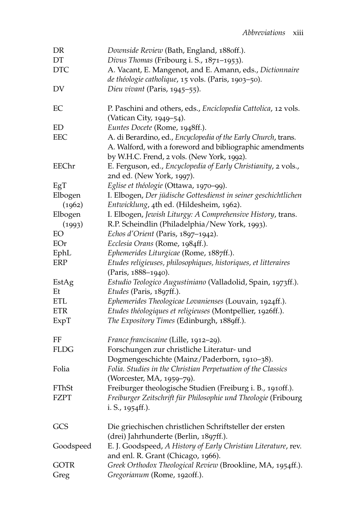| DR          | Downside Review (Bath, England, 188off.).                                                                                                                                |
|-------------|--------------------------------------------------------------------------------------------------------------------------------------------------------------------------|
| DT          | Divus Thomas (Fribourg i. S., 1871-1953).                                                                                                                                |
| <b>DTC</b>  | A. Vacant, E. Mangenot, and E. Amann, eds., Dictionnaire                                                                                                                 |
|             | de théologie catholique, 15 vols. (Paris, 1903-50).                                                                                                                      |
| DV          | Dieu vivant (Paris, 1945-55).                                                                                                                                            |
| EC          | P. Paschini and others, eds., Enciclopedia Cattolica, 12 vols.                                                                                                           |
|             | (Vatican City, 1949-54).                                                                                                                                                 |
| ED          | Euntes Docete (Rome, 1948ff.).                                                                                                                                           |
| EEC         | A. di Berardino, ed., Encyclopedia of the Early Church, trans.<br>A. Walford, with a foreword and bibliographic amendments<br>by W.H.C. Frend, 2 vols. (New York, 1992). |
| EEChr       | E. Ferguson, ed., Encyclopedia of Early Christianity, 2 vols.,<br>2nd ed. (New York, 1997).                                                                              |
| EgT         | Eglise et théologie (Ottawa, 1970-99).                                                                                                                                   |
| Elbogen     | I. Elbogen, Der jüdische Gottesdienst in seiner geschichtlichen                                                                                                          |
| (1962)      | Entwicklung, 4th ed. (Hildesheim, 1962).                                                                                                                                 |
| Elbogen     | I. Elbogen, Jewish Liturgy: A Comprehensive History, trans.                                                                                                              |
| (1993)      | R.P. Scheindlin (Philadelphia/New York, 1993).                                                                                                                           |
| EO          | Echos d'Orient (Paris, 1897-1942).                                                                                                                                       |
| EOr         | Ecclesia Orans (Rome, 1984ff.).                                                                                                                                          |
| EphL        | Ephemerides Liturgicae (Rome, 1887ff.).                                                                                                                                  |
| <b>ERP</b>  | Etudes religieuses, philosophiques, historiques, et litteraires<br>(Paris, 1888-1940).                                                                                   |
| EstAg       | Estudio Teologico Augustiniano (Valladolid, Spain, 1973ff.).                                                                                                             |
| Et          | Etudes (Paris, 1897ff.).                                                                                                                                                 |
| ETL         | Ephemerides Theologicae Lovanienses (Louvain, 1924ff.).                                                                                                                  |
| ETR         | Etudes théologiques et religieuses (Montpellier, 1926ff.).                                                                                                               |
| ExpT        | The Expository Times (Edinburgh, 1889ff.).                                                                                                                               |
| FF          | France franciscaine (Lille, 1912-29).                                                                                                                                    |
| FLDG        | Forschungen zur christliche Literatur- und                                                                                                                               |
|             | Dogmengeschichte (Mainz/Paderborn, 1910-38).                                                                                                                             |
| Folia       | Folia. Studies in the Christian Perpetuation of the Classics                                                                                                             |
|             | (Worcester, MA, 1959-79).                                                                                                                                                |
| FThSt       | Freiburger theologische Studien (Freiburg i. B., 1910ff.).                                                                                                               |
| <b>FZPT</b> | Freiburger Zeitschrift für Philosophie und Theologie (Fribourg<br>i. S., 1954ff.).                                                                                       |
| GCS         | Die griechischen christlichen Schriftsteller der ersten<br>(drei) Jahrhunderte (Berlin, 1897ff.).                                                                        |
| Goodspeed   | E. J. Goodspeed, A History of Early Christian Literature, rev.<br>and enl. R. Grant (Chicago, 1966).                                                                     |
| <b>GOTR</b> | Greek Orthodox Theological Review (Brookline, MA, 1954ff.).                                                                                                              |
| Greg        | Gregorianum (Rome, 1920ff.).                                                                                                                                             |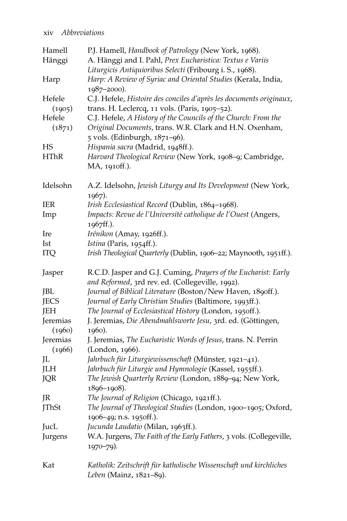| Hamell       | P.J. Hamell, Handbook of Patrology (New York, 1968).                                                             |
|--------------|------------------------------------------------------------------------------------------------------------------|
| Hänggi       | A. Hänggi and I. Pahl, Prex Eucharistica: Textus e Variis                                                        |
|              | Liturgicis Antiquioribus Selecti (Fribourg i. S., 1968).                                                         |
| Harp         | Harp: A Review of Syriac and Oriental Studies (Kerala, India,<br>1987-2000).                                     |
| Hefele       | C.J. Hefele, Histoire des conciles d'après les documents originaux,                                              |
| (1905)       | trans. H. Leclercq, 11 vols. (Paris, 1905-52).                                                                   |
| Hefele       | C.J. Hefele, A History of the Councils of the Church: From the                                                   |
| (1871)       | Original Documents, trans. W.R. Clark and H.N. Oxenham,<br>5 vols. (Edinburgh, 1871-96).                         |
| HS           | Hispania sacra (Madrid, 1948ff.).                                                                                |
| <b>HThR</b>  | Harvard Theological Review (New York, 1908-9; Cambridge,<br>MA, 1910ff.).                                        |
| Idelsohn     | A.Z. Idelsohn, Jewish Liturgy and Its Development (New York,<br>1967).                                           |
| <b>IER</b>   | Irish Ecclesiastical Record (Dublin, 1864-1968).                                                                 |
| Imp          | Impacts: Revue de l'Université catholique de l'Ouest (Angers,<br>1967ff.).                                       |
| Ire          | Irénikon (Amay, 1926ff.).                                                                                        |
| Ist          | Istina (Paris, 1954ff.).                                                                                         |
| <b>ITQ</b>   | Irish Theological Quarterly (Dublin, 1906-22; Maynooth, 1951ff.).                                                |
| Jasper       | R.C.D. Jasper and G.J. Cuming, Prayers of the Eucharist: Early                                                   |
|              | and Reformed, 3rd rev. ed. (Collegeville, 1992).                                                                 |
| JBL          | Journal of Biblical Literature (Boston/New Haven, 1890ff.).                                                      |
| <b>JECS</b>  | Journal of Early Christian Studies (Baltimore, 1993ff.).                                                         |
| JEH          | The Journal of Ecclesiastical History (London, 1950ff.).                                                         |
| Jeremias     | J. Jeremias, Die Abendmahlsworte Jesu, 3rd. ed. (Göttingen,                                                      |
| (1960)       | 1960).                                                                                                           |
| Jeremias     | J. Jeremias, The Eucharistic Words of Jesus, trans. N. Perrin                                                    |
| (1966)<br>JL | (London, 1966).                                                                                                  |
| JLH          | Jahrbuch für Liturgiewissenschaft (Münster, 1921-41).<br>Jahrbuch für Liturgie und Hymnologie (Kassel, 1955ff.). |
| JQR          | The Jewish Quarterly Review (London, 1889-94; New York,                                                          |
|              | 1896-1908).                                                                                                      |
| JR           | The Journal of Religion (Chicago, 1921ff.).                                                                      |
| <b>JThSt</b> | The Journal of Theological Studies (London, 1900-1905; Oxford,                                                   |
|              | 1906–49; n.s. 1950ff.).                                                                                          |
| JucL         | Jucunda Laudatio (Milan, 1963ff.).                                                                               |
| Jurgens      | W.A. Jurgens, The Faith of the Early Fathers, 3 vols. (Collegeville,                                             |
|              | 1970-79).                                                                                                        |
| Kat          | Katholik: Zeitschrift für katholische Wissenschaft und kirchliches<br>Leben (Mainz, 1821-89).                    |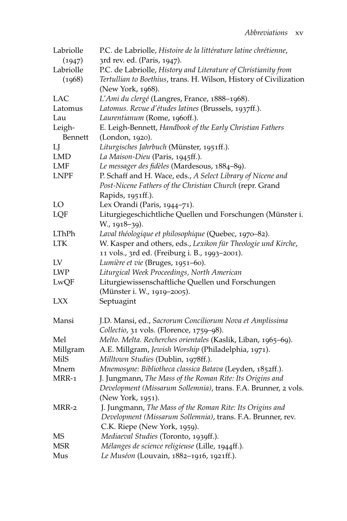| Labriolle   | P.C. de Labriolle, Histoire de la littérature latine chrétienne,  |
|-------------|-------------------------------------------------------------------|
| (1947)      | 3rd rev. ed. (Paris, 1947).                                       |
| Labriolle   | P.C. de Labriolle, History and Literature of Christianity from    |
| (1968)      | Tertullian to Boethius, trans. H. Wilson, History of Civilization |
|             | (New York, 1968).                                                 |
| LAC         | L'Ami du clergé (Langres, France, 1888-1968).                     |
| Latomus     | Latomus. Revue d'études latines (Brussels, 1937ff.).              |
| Lau         | Laurentianum (Rome, 196off.).                                     |
| Leigh-      | E. Leigh-Bennett, Handbook of the Early Christian Fathers         |
| Bennett     | (London, 1920).                                                   |
| LJ          | Liturgisches Jahrbuch (Münster, 1951ff.).                         |
| <b>LMD</b>  | La Maison-Dieu (Paris, 1945ff.).                                  |
| LMF         | Le messager des fidèles (Mardesous, 1884-89).                     |
| <b>LNPF</b> | P. Schaff and H. Wace, eds., A Select Library of Nicene and       |
|             | Post-Nicene Fathers of the Christian Church (repr. Grand          |
|             | Rapids, 1951ff.).                                                 |
| LO          | Lex Orandi (Paris, 1944-71).                                      |
| LQF         | Liturgiegeschichtliche Quellen und Forschungen (Münster i.        |
|             | W., 1918-39).                                                     |
| LThPh       | Laval théologique et philosophique (Quebec, 1970-82).             |
| LTK         | W. Kasper and others, eds., Lexikon für Theologie und Kirche,     |
|             | 11 vols., 3rd ed. (Freiburg i. B., 1993-2001).                    |
| LV          | Lumière et vie (Bruges, 1951-60).                                 |
| <b>LWP</b>  | Liturgical Week Proceedings, North American                       |
| LwQF        | Liturgiewissenschaftliche Quellen und Forschungen                 |
|             | (Münster i. W., 1919-2005).                                       |
| LXX         | Septuagint                                                        |
| Mansi       | J.D. Mansi, ed., Sacrorum Conciliorum Nova et Amplissima          |
|             | Collectio, 31 vols. (Florence, 1759-98).                          |
| Mel         | Melto. Melta. Recherches orientales (Kaslik, Liban, 1965-69).     |
| Millgram    | A.E. Millgram, Jewish Worship (Philadelphia, 1971).               |
| MilS        | Milltown Studies (Dublin, 1978ff.).                               |
| Mnem        | Mnemosyne: Bibliotheca classica Batava (Leyden, 1852ff.).         |
| MRR-1       | J. Jungmann, The Mass of the Roman Rite: Its Origins and          |
|             | Development (Missarum Sollemnia), trans. F.A. Brunner, 2 vols.    |
|             | (New York, 1951).                                                 |
| MRR-2       | J. Jungmann, The Mass of the Roman Rite: Its Origins and          |
|             | Development (Missarum Sollemnia), trans. F.A. Brunner, rev.       |
|             | C.K. Riepe (New York, 1959).                                      |
| <b>MS</b>   | Mediaeval Studies (Toronto, 1939ff.).                             |
| <b>MSR</b>  | Mélanges de science religieuse (Lille, 1944ff.).                  |
| Mus         | Le Muséon (Louvain, 1882-1916, 1921ff.).                          |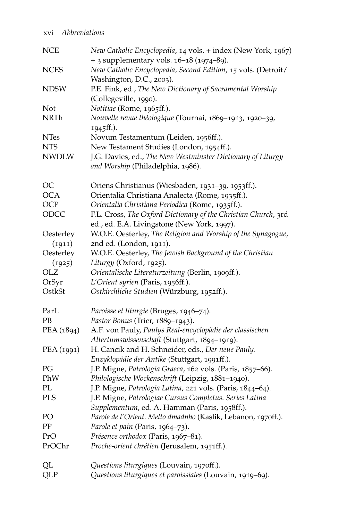| <b>NCE</b>   | New Catholic Encyclopedia, 14 vols. + index (New York, 1967)<br>+ 3 supplementary vols. 16-18 (1974-89). |
|--------------|----------------------------------------------------------------------------------------------------------|
| <b>NCES</b>  | New Catholic Encyclopedia, Second Edition, 15 vols. (Detroit/                                            |
|              | Washington, D.C., 2003).                                                                                 |
| <b>NDSW</b>  | P.E. Fink, ed., The New Dictionary of Sacramental Worship<br>(Collegeville, 1990).                       |
| Not          | Notitiae (Rome, 1965ff.).                                                                                |
| <b>NRTh</b>  | Nouvelle revue théologique (Tournai, 1869-1913, 1920-39,                                                 |
|              | 1945ff.).                                                                                                |
| <b>NTes</b>  | Novum Testamentum (Leiden, 1956ff.).                                                                     |
| <b>NTS</b>   | New Testament Studies (London, 1954ff.).                                                                 |
| <b>NWDLW</b> | J.G. Davies, ed., The New Westminster Dictionary of Liturgy                                              |
|              | and Worship (Philadelphia, 1986).                                                                        |
| <b>OC</b>    | Oriens Christianus (Wiesbaden, 1931-39, 1953ff.).                                                        |
| <b>OCA</b>   | Orientalia Christiana Analecta (Rome, 1935ff.).                                                          |
| <b>OCP</b>   | Orientalia Christiana Periodica (Rome, 1935ff.).                                                         |
| ODCC         | F.L. Cross, The Oxford Dictionary of the Christian Church, 3rd                                           |
|              | ed., ed. E.A. Livingstone (New York, 1997).                                                              |
| Oesterley    | W.O.E. Oesterley, The Religion and Worship of the Synagogue,                                             |
| (1911)       | 2nd ed. (London, 1911).                                                                                  |
| Oesterley    | W.O.E. Oesterley, The Jewish Background of the Christian                                                 |
| (1925)       | Liturgy (Oxford, 1925).                                                                                  |
| OLZ          | Orientalische Literaturzeitung (Berlin, 1909ff.).                                                        |
| OrSyr        | L'Orient syrien (Paris, 1956ff.).                                                                        |
| OstkSt       | Ostkirchliche Studien (Würzburg, 1952ff.).                                                               |
| ParL         | Paroisse et liturgie (Bruges, 1946-74).                                                                  |
| <b>PB</b>    | Pastor Bonus (Trier, 1889-1943).                                                                         |
| PEA (1894)   | A.F. von Pauly, Paulys Real-encyclopädie der classischen                                                 |
|              | Altertumswissenschaft (Stuttgart, 1894-1919).                                                            |
| PEA (1991)   | H. Cancik and H. Schneider, eds., Der neue Pauly.                                                        |
|              | Enzyklopädie der Antike (Stuttgart, 1991ff.).                                                            |
| PG           | J.P. Migne, Patrologia Graeca, 162 vols. (Paris, 1857-66).                                               |
| PhW          | Philologische Wockenschrift (Leipzig, 1881-1940).                                                        |
| PL           | J.P. Migne, Patrologia Latina, 221 vols. (Paris, 1844-64).                                               |
| <b>PLS</b>   | J.P. Migne, Patrologiae Cursus Completus. Series Latina                                                  |
|              | <i>Supplementum,</i> ed. A. Hamman (Paris, 1958ff.).                                                     |
| PO<br>PP     | Parole de l'Orient. Melto dmadnho (Kaslik, Lebanon, 1970ff.).                                            |
| PrO          | Parole et pain (Paris, 1964-73).                                                                         |
| PrOChr       | Présence orthodox (Paris, 1967–81).                                                                      |
|              | Proche-orient chrétien (Jerusalem, 1951ff.).                                                             |
| QL           | Questions liturgiques (Louvain, 1970ff.).                                                                |
| <b>QLP</b>   | Questions liturgiques et paroissiales (Louvain, 1919-69).                                                |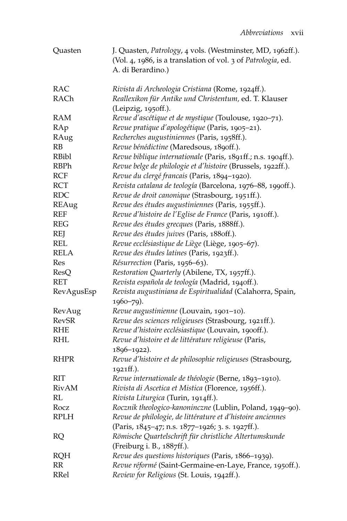| Quasten      | J. Quasten, Patrology, 4 vols. (Westminster, MD, 1962ff.).<br>(Vol. 4, 1986, is a translation of vol. 3 of Patrologia, ed.<br>A. di Berardino.) |
|--------------|-------------------------------------------------------------------------------------------------------------------------------------------------|
| RAC          | Rivista di Archeologia Cristiana (Rome, 1924ff.).                                                                                               |
| RACh         | Reallexikon für Antike und Christentum, ed. T. Klauser                                                                                          |
|              | (Leipzig, 1950ff.).                                                                                                                             |
| RAM          | Revue d'ascétique et de mystique (Toulouse, 1920-71).                                                                                           |
| RAp          | Revue pratique d'apologétique (Paris, 1905-21).                                                                                                 |
| RAug         | Recherches augustiniennes (Paris, 1958ff.).                                                                                                     |
| RB           | Revue bénédictine (Maredsous, 1890ff.).                                                                                                         |
| <b>RBibl</b> | Revue biblique internationale (Paris, 1891ff.; n.s. 1904ff.).                                                                                   |
| RBPh         | Revue belge de philologie et d'histoire (Brussels, 1922ff.).                                                                                    |
| <b>RCF</b>   | Revue du clergé francais (Paris, 1894-1920).                                                                                                    |
| RCT          | Revista catalana de teología (Barcelona, 1976-88, 1990ff.).                                                                                     |
| <b>RDC</b>   | Revue de droit canonique (Strasbourg, 1951ff.).                                                                                                 |
| REAug        | Revue des études augustiniennes (Paris, 1955ff.).                                                                                               |
| <b>REF</b>   | Revue d'histoire de l'Eglise de France (Paris, 1910ff.).                                                                                        |
| <b>REG</b>   | Revue des études grecques (Paris, 1888ff.).                                                                                                     |
| <b>REJ</b>   | Revue des études juives (Paris, 188off.).                                                                                                       |
| REL          | Revue ecclésiastique de Liège (Liège, 1905-67).                                                                                                 |
| <b>RELA</b>  | Revue des études latines (Paris, 1923ff.).                                                                                                      |
| Res          | Résurrection (Paris, 1956-63).                                                                                                                  |
| ResQ         | Restoration Quarterly (Abilene, TX, 1957ff.).                                                                                                   |
| <b>RET</b>   | Revista española de teología (Madrid, 1940ff.).                                                                                                 |
| RevAgusEsp   | Revista augustiniana de Espiritualidad (Calahorra, Spain,                                                                                       |
|              | 1960-79).                                                                                                                                       |
| RevAug       | Revue augustinienne (Louvain, 1901-10).                                                                                                         |
| <b>RevSR</b> | Revue des sciences religieuses (Strasbourg, 1921ff.).                                                                                           |
| <b>RHE</b>   | Revue d'histoire ecclésiastique (Louvain, 1900ff.).                                                                                             |
| RHL          | Revue d'histoire et de littérature religieuse (Paris,                                                                                           |
|              | 1896-1922).                                                                                                                                     |
| <b>RHPR</b>  | Revue d'histoire et de philosophie religieuses (Strasbourg,                                                                                     |
|              | 1921ff.).                                                                                                                                       |
| <b>RIT</b>   | Revue internationale de théologie (Berne, 1893-1910).                                                                                           |
| <b>RivAM</b> | Rivista di Ascetica et Mistica (Florence, 1956ff.).                                                                                             |
| RL           | Rivista Liturgica (Turin, 1914ff.).                                                                                                             |
| Rocz         | Rocznik theologico-kanoninczne (Lublin, Poland, 1949-90).                                                                                       |
| RPLH         | Revue de philologie, de littérature et d'histoire anciennes                                                                                     |
|              | (Paris, 1845-47; n.s. 1877-1926; 3. s. 1927ff.).                                                                                                |
| RQ           | Römische Quartelschrift für christliche Altertumskunde                                                                                          |
|              | (Freiburg i. B., 1887ff.).                                                                                                                      |
| <b>RQH</b>   | Revue des questions historiques (Paris, 1866-1939).                                                                                             |
| RR           | Revue réformé (Saint-Germaine-en-Laye, France, 1950ff.).                                                                                        |
| RRel         | Review for Religious (St. Louis, 1942ff.).                                                                                                      |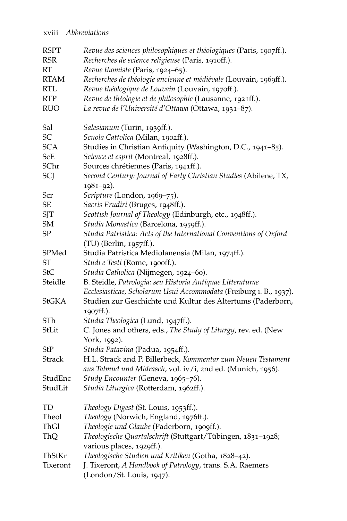| <b>RSPT</b>   | Revue des sciences philosophiques et théologiques (Paris, 1907ff.).                      |
|---------------|------------------------------------------------------------------------------------------|
| <b>RSR</b>    | Recherches de science religieuse (Paris, 1910ff.).                                       |
| RT            | Revue thomiste (Paris, 1924-65).                                                         |
| <b>RTAM</b>   | Recherches de théologie ancienne et médiévale (Louvain, 1969ff.).                        |
| <b>RTL</b>    | Revue théologique de Louvain (Louvain, 1970ff.).                                         |
| <b>RTP</b>    | Revue de théologie et de philosophie (Lausanne, 1921ff.).                                |
| <b>RUO</b>    | La revue de l'Université d'Ottawa (Ottawa, 1931-87).                                     |
| Sal           | Salesianum (Turin, 1939ff.).                                                             |
| SC            | Scuola Cattolica (Milan, 1902ff.).                                                       |
| <b>SCA</b>    | Studies in Christian Antiquity (Washington, D.C., 1941-85).                              |
| ScE           | Science et esprit (Montreal, 1928ff.).                                                   |
| SChr          | Sources chrétiennes (Paris, 1941ff.).                                                    |
| SCJ           | Second Century: Journal of Early Christian Studies (Abilene, TX,                         |
|               | $1981 - 92$ ).                                                                           |
| Scr           | Scripture (London, 1969-75).                                                             |
| <b>SE</b>     | Sacris Erudiri (Bruges, 1948ff.).                                                        |
| <b>SJT</b>    | Scottish Journal of Theology (Edinburgh, etc., 1948ff.).                                 |
| SM            | Studia Monastica (Barcelona, 1959ff.).                                                   |
| SP            | Studia Patristica: Acts of the International Conventions of Oxford                       |
|               | (TU) (Berlin, 1957ff.).                                                                  |
| SPMed         | Studia Patristica Mediolanensia (Milan, 1974ff.).                                        |
| ST            | Studi e Testi (Rome, 1900ff.).                                                           |
| <b>StC</b>    | Studia Catholica (Nijmegen, 1924-60).                                                    |
| Steidle       | B. Steidle, Patrologia: seu Historia Antiquae Litteraturae                               |
|               | Ecclesiasticae, Scholarum Usui Accommodata (Freiburg i. B., 1937).                       |
| <b>StGKA</b>  | Studien zur Geschichte und Kultur des Altertums (Paderborn,                              |
|               | 1907ff.).                                                                                |
| STh           | Studia Theologica (Lund, 1947ff.).                                                       |
| StLit         | C. Jones and others, eds., The Study of Liturgy, rev. ed. (New<br>York, 1992).           |
| StP           | Studia Patavina (Padua, 1954ff.).                                                        |
| <b>Strack</b> | H.L. Strack and P. Billerbeck, Kommentar zum Neuen Testament                             |
|               | aus Talmud und Midrasch, vol. iv/i, 2nd ed. (Munich, 1956).                              |
| StudEnc       | Study Encounter (Geneva, 1965-76).                                                       |
| StudLit       | Studia Liturgica (Rotterdam, 1962ff.).                                                   |
| TD            | Theology Digest (St. Louis, 1953ff.).                                                    |
| Theol         | Theology (Norwich, England, 1976ff.).                                                    |
| ThGl          | Theologie und Glaube (Paderborn, 1909ff.).                                               |
| ThQ           | Theologische Quartalschrift (Stuttgart/Tübingen, 1831-1928;<br>various places, 1929ff.). |
| ThStKr        | Theologische Studien und Kritiken (Gotha, 1828-42).                                      |
| Tixeront      | J. Tixeront, A Handbook of Patrology, trans. S.A. Raemers                                |
|               | (London/St. Louis, 1947).                                                                |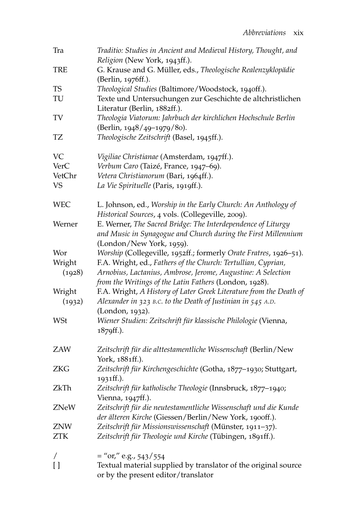| Tra               | Traditio: Studies in Ancient and Medieval History, Thought, and<br>Religion (New York, 1943ff.). |
|-------------------|--------------------------------------------------------------------------------------------------|
| TRE               | G. Krause and G. Müller, eds., Theologische Realenzyklopädie                                     |
| TS                | (Berlin, 1976ff.).<br>Theological Studies (Baltimore/Woodstock, 1940ff.).                        |
| TU                |                                                                                                  |
|                   | Texte und Untersuchungen zur Geschichte de altchristlichen                                       |
| TV                | Literatur (Berlin, 1882ff.).                                                                     |
|                   | Theologia Viatorum: Jahrbuch der kirchlichen Hochschule Berlin                                   |
|                   | (Berlin, 1948/49-1979/80).                                                                       |
| TZ                | Theologische Zeitschrift (Basel, 1945ff.).                                                       |
| VC                | Vigiliae Christianae (Amsterdam, 1947ff.).                                                       |
| VerC              | Verbum Caro (Taizé, France, 1947-69).                                                            |
| VetChr            | Vetera Christianorum (Bari, 1964ff.).                                                            |
| VS                | La Vie Spirituelle (Paris, 1919ff.).                                                             |
| WEC               | L. Johnson, ed., Worship in the Early Church: An Anthology of                                    |
|                   | Historical Sources, 4 vols. (Collegeville, 2009).                                                |
| Werner            | E. Werner, The Sacred Bridge: The Interdependence of Liturgy                                     |
|                   | and Music in Synagogue and Church during the First Millennium                                    |
|                   | (London/New York, 1959).                                                                         |
| Wor               | Worship (Collegeville, 1952ff.; formerly Orate Fratres, 1926-51).                                |
| Wright            | F.A. Wright, ed., Fathers of the Church: Tertullian, Cyprian,                                    |
| (1928)            | Arnobius, Lactanius, Ambrose, Jerome, Augustine: A Selection                                     |
|                   | from the Writings of the Latin Fathers (London, 1928).                                           |
| Wright            | F.A. Wright, A History of Later Greek Literature from the Death of                               |
| (1932)            | Alexander in 323 B.C. to the Death of Justinian in 545 A.D.                                      |
|                   | (London, 1932).                                                                                  |
| WSt               | Wiener Studien: Zeitschrift für klassische Philologie (Vienna,                                   |
|                   | 1879ff.).                                                                                        |
| ZAW               | Zeitschrift für die alttestamentliche Wissenschaft (Berlin/New                                   |
|                   | York, 1881ff.).                                                                                  |
| <b>ZKG</b>        | Zeitschrift für Kirchengeschichte (Gotha, 1877-1930; Stuttgart,<br>1931ff.).                     |
| ZkTh              | Zeitschrift für katholische Theologie (Innsbruck, 1877-1940;                                     |
|                   | Vienna, 1947ff.).                                                                                |
| ZNeW              | Zeitschrift für die neutestamentliche Wissenschaft und die Kunde                                 |
|                   | der älteren Kirche (Giessen/Berlin/New York, 1900ff.).                                           |
| ZNW               | Zeitschrift für Missionswissenschaft (Münster, 1911-37).                                         |
| ZTK               | Zeitschrift für Theologie und Kirche (Tübingen, 1891ff.).                                        |
|                   |                                                                                                  |
| Τ                 | $=$ "or," e.g., 543/554                                                                          |
| $\lceil$ $\rceil$ | Textual material supplied by translator of the original source                                   |
|                   | or by the present editor/translator                                                              |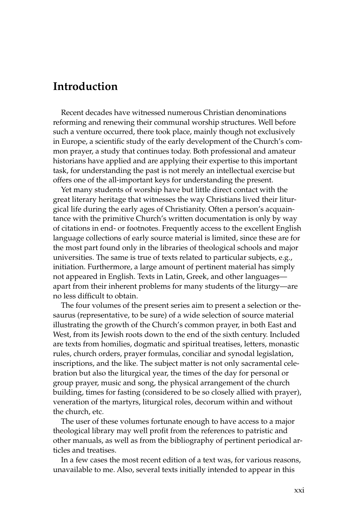# **Introduction**

Recent decades have witnessed numerous Christian denominations reforming and renewing their communal worship structures. Well before such a venture occurred, there took place, mainly though not exclusively in Europe, a scientific study of the early development of the Church's common prayer, a study that continues today. Both professional and amateur historians have applied and are applying their expertise to this important task, for understanding the past is not merely an intellectual exercise but offers one of the all-important keys for understanding the present.

Yet many students of worship have but little direct contact with the great literary heritage that witnesses the way Christians lived their liturgical life during the early ages of Christianity. Often a person's acquaintance with the primitive Church's written documentation is only by way of citations in end- or footnotes. Frequently access to the excellent English language collections of early source material is limited, since these are for the most part found only in the libraries of theological schools and major universities. The same is true of texts related to particular subjects, e.g., initiation. Furthermore, a large amount of pertinent material has simply not appeared in English. Texts in Latin, Greek, and other languages apart from their inherent problems for many students of the liturgy—are no less difficult to obtain.

The four volumes of the present series aim to present a selection or thesaurus (representative, to be sure) of a wide selection of source material illustrating the growth of the Church's common prayer, in both East and West, from its Jewish roots down to the end of the sixth century. Included are texts from homilies, dogmatic and spiritual treatises, letters, monastic rules, church orders, prayer formulas, conciliar and synodal legislation, inscriptions, and the like. The subject matter is not only sacramental celebration but also the liturgical year, the times of the day for personal or group prayer, music and song, the physical arrangement of the church building, times for fasting (considered to be so closely allied with prayer), veneration of the martyrs, liturgical roles, decorum within and without the church, etc.

The user of these volumes fortunate enough to have access to a major theological library may well profit from the references to patristic and other manuals, as well as from the bibliography of pertinent periodical articles and treatises.

In a few cases the most recent edition of a text was, for various reasons, unavailable to me. Also, several texts initially intended to appear in this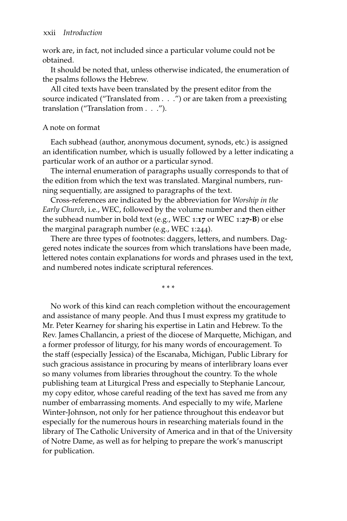work are, in fact, not included since a particular volume could not be obtained.

It should be noted that, unless otherwise indicated, the enumeration of the psalms follows the Hebrew.

All cited texts have been translated by the present editor from the source indicated ("Translated from . . .") or are taken from a preexisting translation ("Translation from . . .").

#### A note on format

Each subhead (author, anonymous document, synods, etc.) is assigned an identification number, which is usually followed by a letter indicating a particular work of an author or a particular synod.

The internal enumeration of paragraphs usually corresponds to that of the edition from which the text was translated. Marginal numbers, running sequentially, are assigned to paragraphs of the text.

Cross-references are indicated by the abbreviation for *Worship in the Early Church*, i.e., WEC, followed by the volume number and then either the subhead number in bold text (e.g., WEC 1:**17** or WEC 1:**27-B**) or else the marginal paragraph number (e.g., WEC 1:244).

There are three types of footnotes: daggers, letters, and numbers. Daggered notes indicate the sources from which translations have been made, lettered notes contain explanations for words and phrases used in the text, and numbered notes indicate scriptural references.

\* \* \*

No work of this kind can reach completion without the encouragement and assistance of many people. And thus I must express my gratitude to Mr. Peter Kearney for sharing his expertise in Latin and Hebrew. To the Rev. James Challancin, a priest of the diocese of Marquette, Michigan, and a former professor of liturgy, for his many words of encouragement. To the staff (especially Jessica) of the Escanaba, Michigan, Public Library for such gracious assistance in procuring by means of interlibrary loans ever so many volumes from libraries throughout the country. To the whole publishing team at Liturgical Press and especially to Stephanie Lancour, my copy editor, whose careful reading of the text has saved me from any number of embarrassing moments. And especially to my wife, Marlene Winter-Johnson, not only for her patience throughout this endeavor but especially for the numerous hours in researching materials found in the library of The Catholic University of America and in that of the University of Notre Dame, as well as for helping to prepare the work's manuscript for publication.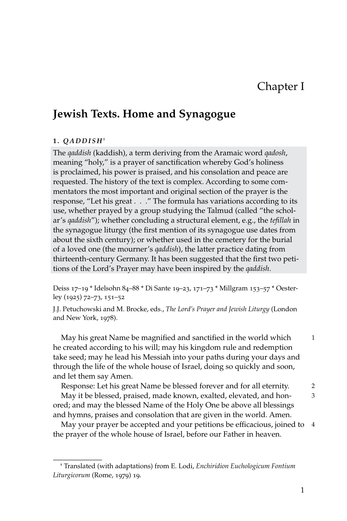# Chapter I

# **Jewish Texts. Home and Synagogue**

### **1.** *Qaddish*†

The *qaddish* (kaddish), a term deriving from the Aramaic word *qadosh*, meaning "holy," is a prayer of sanctification whereby God's holiness is proclaimed, his power is praised, and his consolation and peace are requested. The history of the text is complex. According to some commentators the most important and original section of the prayer is the response, "Let his great . . ." The formula has variations according to its use, whether prayed by a group studying the Talmud (called "the scholar's *qaddish*"); whether concluding a structural element, e.g., the *tefillah* in the synagogue liturgy (the first mention of its synagogue use dates from about the sixth century); or whether used in the cemetery for the burial of a loved one (the mourner's *qaddish*), the latter practice dating from thirteenth-century Germany. It has been suggested that the first two petitions of the Lord's Prayer may have been inspired by the *qaddish*.

Deiss 17–19 \* Idelsohn 84–88 \* Di Sante 19–23, 171–73 \* Millgram 153–57 \* Oesterley (1925) 72–73, 151–52

J.J. Petuchowski and M. Brocke, eds., *The Lord's Prayer and Jewish Liturgy* (London and New York, 1978).

May his great Name be magnified and sanctified in the world which he created according to his will; may his kingdom rule and redemption take seed; may he lead his Messiah into your paths during your days and through the life of the whole house of Israel, doing so quickly and soon, and let them say Amen.

Response: Let his great Name be blessed forever and for all eternity.

May it be blessed, praised, made known, exalted, elevated, and honored; and may the blessed Name of the Holy One be above all blessings and hymns, praises and consolation that are given in the world. Amen.

May your prayer be accepted and your petitions be efficacious, joined to 4the prayer of the whole house of Israel, before our Father in heaven.

1

2 3

<sup>†</sup> Translated (with adaptations) from E. Lodi, *Enchiridion Euchologicum Fontium Liturgicorum* (Rome, 1979) 19.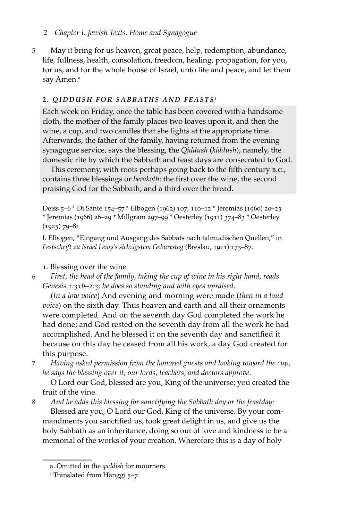## 2 *Chapter I. Jewish Texts. Home and Synagogue*

5 May it bring for us heaven, great peace, help, redemption, abundance, life, fullness, health, consolation, freedom, healing, propagation, for you, for us, and for the whole house of Israel, unto life and peace, and let them say Amen.<sup>a</sup>

# **2.** *Qiddush for S abbaths and Feasts* †

Each week on Friday, once the table has been covered with a handsome cloth, the mother of the family places two loaves upon it, and then the wine, a cup, and two candles that she lights at the appropriate time. Afterwards, the father of the family, having returned from the evening synagogue service, says the blessing, the *Qiddush* (*kiddush*), namely, the domestic rite by which the Sabbath and feast days are consecrated to God.

This ceremony, with roots perhaps going back to the fifth century b.c., contains three blessings or *berakoth*: the first over the wine, the second praising God for the Sabbath, and a third over the bread.

Deiss 5–6 \* Di Sante 154–57 \* Elbogen (1962) 107, 110–12 \* Jeremias (1960) 20–23 \* Jeremias (1966) 26–29 \* Millgram 297–99 \* Oesterley (1911) 374–83 \* Oesterley (1925) 79–81

I. Elbogen, "Eingang und Ausgang des Sabbats nach talmudischen Quellen," in *Festschrift zu Israel Lewy's siebzigstem Geburtstag* (Breslau, 1911) 173–87.

1. Blessing over the wine

6 *First, the head of the family, taking the cup of wine in his right hand, reads Genesis 1:31b–2:3; he does so standing and with eyes upraised*.

(*In a low voice*) And evening and morning were made (*then in a loud voice*) on the sixth day. Thus heaven and earth and all their ornaments were completed. And on the seventh day God completed the work he had done; and God rested on the seventh day from all the work he had accomplished. And he blessed it on the seventh day and sanctified it because on this day he ceased from all his work, a day God created for this purpose.

7 *Having asked permission from the honored guests and looking toward the cup, he says the blessing over it; our lords, teachers, and doctors approve*.

O Lord our God, blessed are you, King of the universe; you created the fruit of the vine.

8 *And he adds this blessing for sanctifying the Sabbath day or the feastday:* Blessed are you, O Lord our God, King of the universe. By your commandments you sanctified us, took great delight in us, and give us the holy Sabbath as an inheritance, doing so out of love and kindness to be a memorial of the works of your creation. Wherefore this is a day of holy

a. Omitted in the *qaddish* for mourners.

<sup>†</sup> Translated from Hänggi 5–7.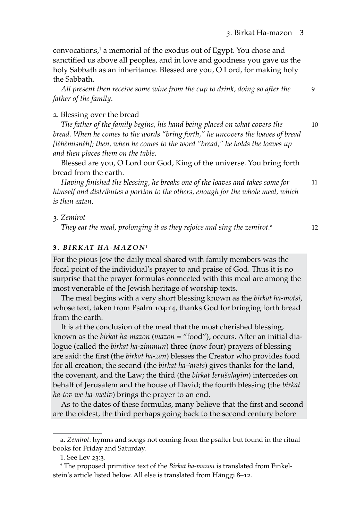convocations,<sup>1</sup> a memorial of the exodus out of Egypt. You chose and sanctified us above all peoples, and in love and goodness you gave us the holy Sabbath as an inheritance. Blessed are you, O Lord, for making holy the Sabbath.

*All present then receive some wine from the cup to drink, doing so after the father of the family*.

#### 2. Blessing over the bread

10 *The father of the family begins, his hand being placed on what covers the bread. When he comes to the words "bring forth," he uncovers the loaves of bread [lèhèmisnèh]; then, when he comes to the word "bread," he holds the loaves up and then places them on the table*.

Blessed are you, O Lord our God, King of the universe. You bring forth bread from the earth.

11 *Having finished the blessing, he breaks one of the loaves and takes some for himself and distributes a portion to the others, enough for the whole meal, which is then eaten*.

#### 3. *Zemirot*

*They eat the meal, prolonging it as they rejoice and sing the zemirot.*<sup>a</sup>

12

9

#### **3.** *Birkat ha-mazon*†

For the pious Jew the daily meal shared with family members was the focal point of the individual's prayer to and praise of God. Thus it is no surprise that the prayer formulas connected with this meal are among the most venerable of the Jewish heritage of worship texts.

The meal begins with a very short blessing known as the *birkat ha-motsi*, whose text, taken from Psalm 104:14, thanks God for bringing forth bread from the earth.

It is at the conclusion of the meal that the most cherished blessing, known as the *birkat ha-mazon* (*mazon* = "food"), occurs. After an initial dialogue (called the *birkat ha-zimmun*) three (now four) prayers of blessing are said: the first (the *birkat ha-zan*) blesses the Creator who provides food for all creation; the second (the *birkat ha-<arets*) gives thanks for the land, the covenant, and the Law; the third (the *birkat Ierušalayim*) intercedes on behalf of Jerusalem and the house of David; the fourth blessing (the *birkat ha-tov we-ha-metiv*) brings the prayer to an end.

As to the dates of these formulas, many believe that the first and second are the oldest, the third perhaps going back to the second century before

a. *Zemirot*: hymns and songs not coming from the psalter but found in the ritual books for Friday and Saturday.

<sup>1.</sup> See Lev 23:3.

<sup>†</sup> The proposed primitive text of the *Birkat ha-mazon* is translated from Finkelstein's article listed below. All else is translated from Hänggi 8–12.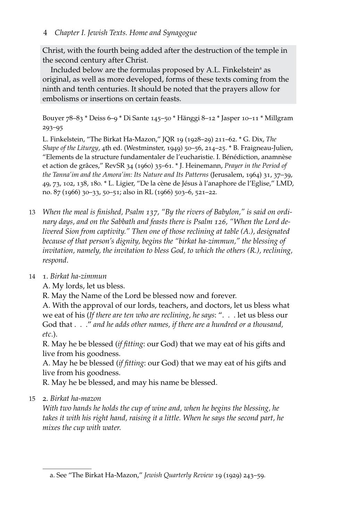# 4 *Chapter I. Jewish Texts. Home and Synagogue*

Christ, with the fourth being added after the destruction of the temple in the second century after Christ.

Included below are the formulas proposed by A.L. Finkelstein<sup>a</sup> as original, as well as more developed, forms of these texts coming from the ninth and tenth centuries. It should be noted that the prayers allow for embolisms or insertions on certain feasts.

Bouyer 78–83 \* Deiss 6–9 \* Di Sante 145–50 \* Hänggi 8–12 \* Jasper 10–11 \* Millgram 293–95

L. Finkelstein, "The Birkat Ha-Mazon," JQR 19 (1928–29) 211–62. \* G. Dix, *The Shape of the Liturgy*, 4th ed. (Westminster, 1949) 50–56, 214–25. \* B. Fraigneau-Julien, "Elements de la structure fundamentaler de l'eucharistie. I. Bénédiction, anamnèse et action de grâces," RevSR 34 (1960) 35–61. \* J. Heinemann, *Prayer in the Period of the Tanna'im and the Amora'im: Its Nature and Its Patterns* (Jerusalem, 1964) 31, 37–39, 49, 73, 102, 138, 180. \* L. Ligier, "De la cène de Jésus à l'anaphore de l'Eglise," LMD, no. 87 (1966) 30–33, 50–51; also in RL (1966) 503–6, 521–22.

- 13 *When the meal is finished, Psalm 137, "By the rivers of Babylon," is said on ordinary days, and on the Sabbath and feasts there is Psalm 126, "When the Lord delivered Sion from captivity." Then one of those reclining at table (A.), designated because of that person's dignity, begins the "birkat ha-zimmun," the blessing of invitation, namely, the invitation to bless God, to which the others (R.), reclining, respond*.
- 14 1. *Birkat ha-zimmun*

A. My lords, let us bless.

R. May the Name of the Lord be blessed now and forever.

A. With the approval of our lords, teachers, and doctors, let us bless what we eat of his (*If there are ten who are reclining, he says*: ". . . let us bless our God that . . ." *and he adds other names, if there are a hundred or a thousand, etc*.).

R. May he be blessed (*if fitting*: our God) that we may eat of his gifts and live from his goodness.

A. May he be blessed (*if fitting*: our God) that we may eat of his gifts and live from his goodness.

R. May he be blessed, and may his name be blessed.

15 2. *Birkat ha-mazon*

*With two hands he holds the cup of wine and, when he begins the blessing, he takes it with his right hand, raising it a little. When he says the second part, he mixes the cup with water.*

a. See "The Birkat Ha-Mazon," *Jewish Quarterly Review* 19 (1929) 243–59.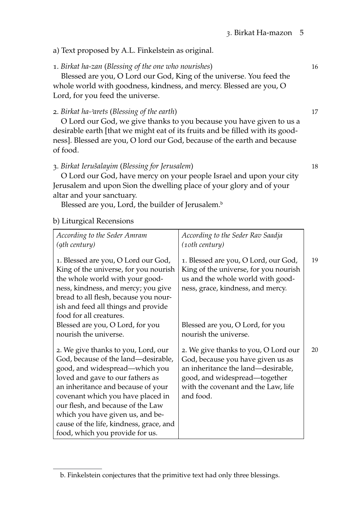## a) Text proposed by A.L. Finkelstein as original.

1. *Birkat ha-zan* (*Blessing of the one who nourishes*) Blessed are you, O Lord our God, King of the universe. You feed the whole world with goodness, kindness, and mercy. Blessed are you, O Lord, for you feed the universe.

# 2. *Birkat ha-<arets* (*Blessing of the earth*)

O Lord our God, we give thanks to you because you have given to us a desirable earth [that we might eat of its fruits and be filled with its goodness]. Blessed are you, O lord our God, because of the earth and because of food.

#### 3. *Birkat Ierušalayim* (*Blessing for Jerusalem*)

O Lord our God, have mercy on your people Israel and upon your city Jerusalem and upon Sion the dwelling place of your glory and of your altar and your sanctuary.

Blessed are you, Lord, the builder of Jerusalem.<sup>b</sup>

#### b) Liturgical Recensions

| According to the Seder Amram            | According to the Seder Rav Saadja     |    |
|-----------------------------------------|---------------------------------------|----|
| (9th century)                           | (10th century)                        |    |
| 1. Blessed are you, O Lord our God,     | 1. Blessed are you, O Lord, our God,  | 19 |
| King of the universe, for you nourish   | King of the universe, for you nourish |    |
| the whole world with your good-         | us and the whole world with good-     |    |
| ness, kindness, and mercy; you give     | ness, grace, kindness, and mercy.     |    |
| bread to all flesh, because you nour-   |                                       |    |
| ish and feed all things and provide     |                                       |    |
| food for all creatures.                 |                                       |    |
| Blessed are you, O Lord, for you        | Blessed are you, O Lord, for you      |    |
| nourish the universe.                   | nourish the universe.                 |    |
| 2. We give thanks to you, Lord, our     | 2. We give thanks to you, O Lord our  | 20 |
| God, because of the land-desirable,     | God, because you have given us as     |    |
| good, and widespread-which you          | an inheritance the land—desirable,    |    |
| loved and gave to our fathers as        | good, and widespread—together         |    |
| an inheritance and because of your      | with the covenant and the Law, life   |    |
| covenant which you have placed in       | and food.                             |    |
| our flesh, and because of the Law       |                                       |    |
| which you have given us, and be-        |                                       |    |
| cause of the life, kindness, grace, and |                                       |    |
| food, which you provide for us.         |                                       |    |

16

17

18

b. Finkelstein conjectures that the primitive text had only three blessings.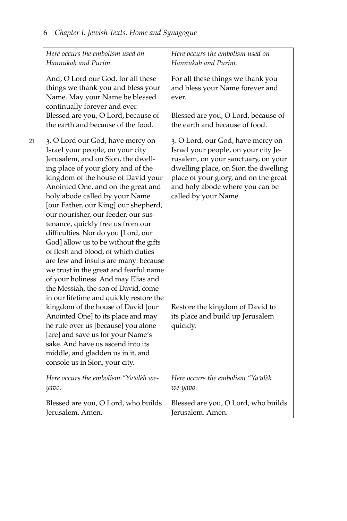|    | Here occurs the embolism used on<br>Hannukah and Purim.                                                                                                                                                                                                                                                                                                                                                                                                                                                                                                                                                                                                                     | Here occurs the embolism used on<br>Hannukah and Purim.                                                                                                                                                                                                      |
|----|-----------------------------------------------------------------------------------------------------------------------------------------------------------------------------------------------------------------------------------------------------------------------------------------------------------------------------------------------------------------------------------------------------------------------------------------------------------------------------------------------------------------------------------------------------------------------------------------------------------------------------------------------------------------------------|--------------------------------------------------------------------------------------------------------------------------------------------------------------------------------------------------------------------------------------------------------------|
|    | And, O Lord our God, for all these<br>things we thank you and bless your<br>Name. May your Name be blessed<br>continually forever and ever.                                                                                                                                                                                                                                                                                                                                                                                                                                                                                                                                 | For all these things we thank you<br>and bless your Name forever and<br>ever.                                                                                                                                                                                |
|    | Blessed are you, O Lord, because of<br>the earth and because of the food.                                                                                                                                                                                                                                                                                                                                                                                                                                                                                                                                                                                                   | Blessed are you, O Lord, because of<br>the earth and because of food.                                                                                                                                                                                        |
| 21 | 3. O Lord our God, have mercy on<br>Israel your people, on your city<br>Jerusalem, and on Sion, the dwell-<br>ing place of your glory and of the<br>kingdom of the house of David your<br>Anointed One, and on the great and<br>holy abode called by your Name.<br>[our Father, our King] our shepherd,<br>our nourisher, our feeder, our sus-<br>tenance, quickly free us from our<br>difficulties. Nor do you [Lord, our<br>God] allow us to be without the gifts<br>of flesh and blood, of which duties<br>are few and insults are many: because<br>we trust in the great and fearful name<br>of your holiness. And may Elias and<br>the Messiah, the son of David, come | 3. O Lord, our God, have mercy on<br>Israel your people, on your city Je-<br>rusalem, on your sanctuary, on your<br>dwelling place, on Sion the dwelling<br>place of your glory, and on the great<br>and holy abode where you can be<br>called by your Name. |
|    | in our lifetime and quickly restore the<br>kingdom of the house of David [our<br>Anointed One] to its place and may<br>he rule over us [because] you alone<br>[are] and save us for your Name's<br>sake. And have us ascend into its<br>middle, and gladden us in it, and<br>console us in Sion, your city.                                                                                                                                                                                                                                                                                                                                                                 | Restore the kingdom of David to<br>its place and build up Jerusalem<br>quickly.                                                                                                                                                                              |
|    | Here occurs the embolism "Ya'alèh we-<br>yavo.                                                                                                                                                                                                                                                                                                                                                                                                                                                                                                                                                                                                                              | Here occurs the embolism "Ya'alèh<br>we-yavo.                                                                                                                                                                                                                |
|    | Blessed are you, O Lord, who builds<br>Jerusalem. Amen.                                                                                                                                                                                                                                                                                                                                                                                                                                                                                                                                                                                                                     | Blessed are you, O Lord, who builds<br>Jerusalem. Amen.                                                                                                                                                                                                      |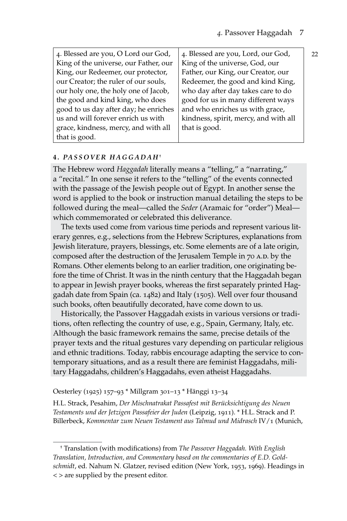| 4. Blessed are you, O Lord our God,   | 4. Blessed are you, Lord, our God,    |
|---------------------------------------|---------------------------------------|
| King of the universe, our Father, our | King of the universe, God, our        |
| King, our Redeemer, our protector,    | Father, our King, our Creator, our    |
| our Creator; the ruler of our souls,  | Redeemer, the good and kind King,     |
| our holy one, the holy one of Jacob,  | who day after day takes care to do    |
| the good and kind king, who does      | good for us in many different ways    |
| good to us day after day; he enriches | and who enriches us with grace,       |
| us and will forever enrich us with    | kindness, spirit, mercy, and with all |
| grace, kindness, mercy, and with all  | that is good.                         |
| that is good.                         |                                       |

### **4.** *Passover Haggadah*†

The Hebrew word *Haggadah* literally means a "telling," a "narrating," a "recital." In one sense it refers to the "telling" of the events connected with the passage of the Jewish people out of Egypt. In another sense the word is applied to the book or instruction manual detailing the steps to be followed during the meal—called the *Seder* (Aramaic for "order") Meal which commemorated or celebrated this deliverance.

The texts used come from various time periods and represent various literary genres, e.g., selections from the Hebrew Scriptures, explanations from Jewish literature, prayers, blessings, etc. Some elements are of a late origin, composed after the destruction of the Jerusalem Temple in  $70$  A.D. by the Romans. Other elements belong to an earlier tradition, one originating before the time of Christ. It was in the ninth century that the Haggadah began to appear in Jewish prayer books, whereas the first separately printed Haggadah date from Spain (ca. 1482) and Italy (1505). Well over four thousand such books, often beautifully decorated, have come down to us.

Historically, the Passover Haggadah exists in various versions or traditions, often reflecting the country of use, e.g., Spain, Germany, Italy, etc. Although the basic framework remains the same, precise details of the prayer texts and the ritual gestures vary depending on particular religious and ethnic traditions. Today, rabbis encourage adapting the service to contemporary situations, and as a result there are feminist Haggadahs, military Haggadahs, children's Haggadahs, even atheist Haggadahs.

Oesterley (1925) 157–93 \* Millgram 301–13 \* Hänggi 13–34

H.L. Strack, Pesahim, *Der Mischnatrakat Passafest mit Berücksichtigung des Neuen Testaments und der Jetzigen Passafeier der Juden* (Leipzig, 1911). \* H.L. Strack and P. Billerbeck, *Kommentar zum Neuen Testament aus Talmud und Midrasch* IV/1 (Munich,

<sup>†</sup> Translation (with modifications) from *The Passover Haggadah. With English Translation, Introduction, and Commentary based on the commentaries of E.D. Goldschmidt*, ed. Nahum N. Glatzer, revised edition (New York, 1953, 1969). Headings in < > are supplied by the present editor.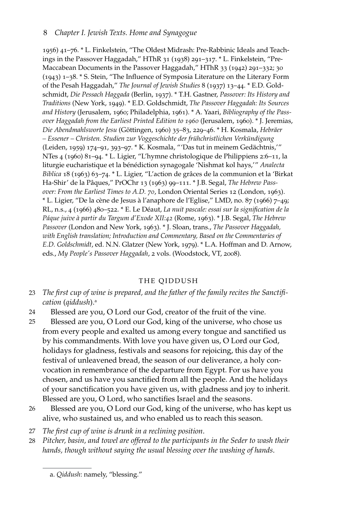1956) 41–76. \* L. Finkelstein, "The Oldest Midrash: Pre-Rabbinic Ideals and Teachings in the Passover Haggadah," HThR 31 (1938) 291–317. \* L. Finkelstein, "Pre-Maccabean Documents in the Passover Haggadah," HThR 33 (1942) 291–332; 30 (1943) 1–38. \* S. Stein, "The Influence of Symposia Literature on the Literary Form of the Pesah Haggadah," *The Journal of Jewish Studies* 8 (1937) 13–44. \* E.D. Goldschmidt, *Die Pessach Haggada* (Berlin, 1937). \* T.H. Gastner, *Passover: Its History and Traditions* (New York, 1949). \* E.D. Goldschmidt, *The Passover Haggadah: Its Sources and History* (Jerusalem, 1960; Philadelphia, 1961). \* A. Yaari, *Bibliography of the Passover Haggadah from the Earliest Printed Edition to 1960* (Jerusalem, 1960). \* J. Jeremias, *Die Abendmahlsworte Jesu* (Göttingen, 1960) 35–83, 229–46. \* H. Kosmala, *Hebräer – Essener – Christen. Studien zur Voggeschichte der frühchristlichen Verkündigung*  (Leiden, 1959) 174–91, 393–97. \* K. Kosmala, "'Das tut in meinem Gedächtnis,'" NTes 4 (1960) 81–94. \* L. Ligier, "L'hymne christologique de Philippiens 2:6–11, la liturgie eucharistique et la bénédiction synagogale 'Nishmat kol hays,'" *Analecta Biblica* 18 (1963) 63–74. \* L. Ligier, "L'action de grâces de la communion et la 'Birkat Ha-Shir' de la Pâques," PrOChr 13 (1963) 99–111. \* J.B. Segal, *The Hebrew Passover: From the Earliest Times to A.D. 70*, London Oriental Series 12 (London, 1963). \* L. Ligier, "De la cène de Jesus à l'anaphore de l'Eglise," LMD, no. 87 (1966) 7–49; RL, n.s., 4 (1966) 480–522. \* E. Le Déaut, *La nuit pascale: essai sur la signification de la Páque juive à partir du Targum d'Exode XII:42* (Rome, 1963). \* J.B. Segal, *The Hebrew Passover* (London and New York, 1963). \* J. Sloan, trans., *The Passover Haggadah, with English translation; Introduction and Commentary, Based on the Commentaries of E.D. Goldschmidt*, ed. N.N. Glatzer (New York, 1979). \* L.A. Hoffman and D. Arnow, eds., *My People's Passover Haggadah*, 2 vols. (Woodstock, VT, 2008).

# THE QIDDUSH

- 23 *The first cup of wine is prepared, and the father of the family recites the Sanctification* (*qiddush*).a
- 24 Blessed are you, O Lord our God, creator of the fruit of the vine.
- 25 Blessed are you, O Lord our God, king of the universe, who chose us from every people and exalted us among every tongue and sanctified us by his commandments. With love you have given us, O Lord our God, holidays for gladness, festivals and seasons for rejoicing, this day of the festival of unleavened bread, the season of our deliverance, a holy convocation in remembrance of the departure from Egypt. For us have you chosen, and us have you sanctified from all the people. And the holidays of your sanctification you have given us, with gladness and joy to inherit. Blessed are you, O Lord, who sanctifies Israel and the seasons.
- 26 Blessed are you, O Lord our God, king of the universe, who has kept us alive, who sustained us, and who enabled us to reach this season.
- 27 *The first cup of wine is drunk in a reclining position*.
- 28 *Pitcher, basin, and towel are offered to the participants in the Seder to wash their hands, though without saying the usual blessing over the washing of hands*.

a. *Qiddush*: namely, "blessing."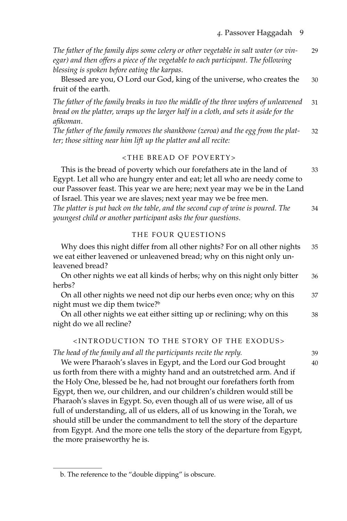39 40

29 *The father of the family dips some celery or other vegetable in salt water (or vinegar) and then offers a piece of the vegetable to each participant. The following blessing is spoken before eating the karpas*.

30 Blessed are you, O Lord our God, king of the universe, who creates the fruit of the earth.

31 *The father of the family breaks in two the middle of the three wafers of unleavened bread on the platter, wraps up the larger half in a cloth, and sets it aside for the afikoman*.

32 *The father of the family removes the shankbone (zeroa) and the egg from the platter; those sitting near him lift up the platter and all recite:*

#### <THE BREAD OF POVERTY>

33 34 This is the bread of poverty which our forefathers ate in the land of Egypt. Let all who are hungry enter and eat; let all who are needy come to our Passover feast. This year we are here; next year may we be in the Land of Israel. This year we are slaves; next year may we be free men. *The platter is put back on the table, and the second cup of wine is poured. The youngest child or another participant asks the four questions*.

#### THE FOUR QUESTIONS

| Why does this night differ from all other nights? For on all other nights | 35 |
|---------------------------------------------------------------------------|----|
| we eat either leavened or unleavened bread; why on this night only un-    |    |
| leavened bread?                                                           |    |

36 On other nights we eat all kinds of herbs; why on this night only bitter herbs?

37 On all other nights we need not dip our herbs even once; why on this night must we dip them twice?<sup>b</sup>

38 On all other nights we eat either sitting up or reclining; why on this night do we all recline?

#### <INTRODUC TION TO THE STORY OF THE EXODUS>

*The head of the family and all the participants recite the reply.*

We were Pharaoh's slaves in Egypt, and the Lord our God brought us forth from there with a mighty hand and an outstretched arm. And if the Holy One, blessed be he, had not brought our forefathers forth from Egypt, then we, our children, and our children's children would still be Pharaoh's slaves in Egypt. So, even though all of us were wise, all of us full of understanding, all of us elders, all of us knowing in the Torah, we should still be under the commandment to tell the story of the departure from Egypt. And the more one tells the story of the departure from Egypt, the more praiseworthy he is.

b. The reference to the "double dipping" is obscure.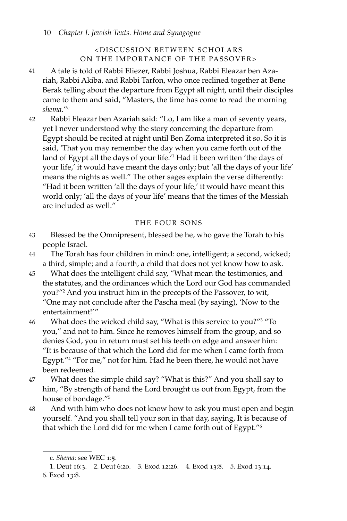## <DISCUSSION BETWEEN SCHOLARS ON THE IMPORTANCE OF THE PASSOVER>

- 41 A tale is told of Rabbi Eliezer, Rabbi Joshua, Rabbi Eleazar ben Azariah, Rabbi Akiba, and Rabbi Tarfon, who once reclined together at Bene Berak telling about the departure from Egypt all night, until their disciples came to them and said, "Masters, the time has come to read the morning *shema.*"c
- 42 Rabbi Eleazar ben Azariah said: "Lo, I am like a man of seventy years, yet I never understood why the story concerning the departure from Egypt should be recited at night until Ben Zoma interpreted it so. So it is said, 'That you may remember the day when you came forth out of the land of Egypt all the days of your life.<sup>'1</sup> Had it been written 'the days of your life,' it would have meant the days only; but 'all the days of your life' means the nights as well." The other sages explain the verse differently: "Had it been written 'all the days of your life,' it would have meant this world only; 'all the days of your life' means that the times of the Messiah are included as well."

# THE FOUR SONS

- 43 Blessed be the Omnipresent, blessed be he, who gave the Torah to his people Israel.
- 44 The Torah has four children in mind: one, intelligent; a second, wicked; a third, simple; and a fourth, a child that does not yet know how to ask.
- 45 What does the intelligent child say, "What mean the testimonies, and the statutes, and the ordinances which the Lord our God has commanded you?"2 And you instruct him in the precepts of the Passover, to wit, "One may not conclude after the Pascha meal (by saying), 'Now to the entertainment!'"
- 46 What does the wicked child say, "What is this service to you?"<sup>3</sup> "To you," and not to him. Since he removes himself from the group, and so denies God, you in return must set his teeth on edge and answer him: "It is because of that which the Lord did for me when I came forth from Egypt."4 "For me," not for him. Had he been there, he would not have been redeemed.
- 47 What does the simple child say? "What is this?" And you shall say to him, "By strength of hand the Lord brought us out from Egypt, from the house of bondage."5
- 48 And with him who does not know how to ask you must open and begin yourself. "And you shall tell your son in that day, saying, It is because of that which the Lord did for me when I came forth out of Egypt."6

c. *Shema*: see WEC 1:**5**.

<sup>1.</sup> Deut 16:3. 2. Deut 6:20. 3. Exod 12:26. 4. Exod 13:8. 5. Exod 13:14.

<sup>6.</sup> Exod 13:8.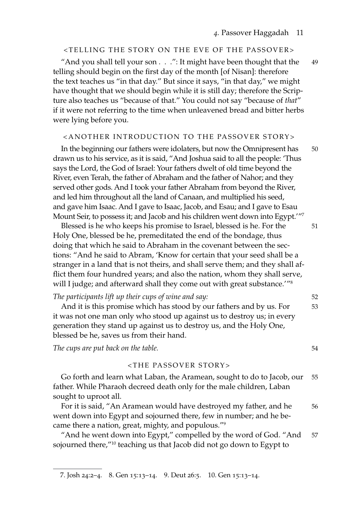#### <TELLING THE STORY ON THE EVE OF THE PASSOVER>

"And you shall tell your son . . .": It might have been thought that the telling should begin on the first day of the month [of Nisan]: therefore the text teaches us "in that day." But since it says, "in that day," we might have thought that we should begin while it is still day; therefore the Scripture also teaches us "because of that." You could not say "because of *that*" if it were not referring to the time when unleavened bread and bitter herbs were lying before you.

#### <ANOTHER INTRODUCTION TO THE PASSOVER STORY>

50 In the beginning our fathers were idolaters, but now the Omnipresent has drawn us to his service, as it is said, "And Joshua said to all the people: 'Thus says the Lord, the God of Israel: Your fathers dwelt of old time beyond the River, even Terah, the father of Abraham and the father of Nahor; and they served other gods. And I took your father Abraham from beyond the River, and led him throughout all the land of Canaan, and multiplied his seed, and gave him Isaac. And I gave to Isaac, Jacob, and Esau; and I gave to Esau Mount Seir, to possess it; and Jacob and his children went down into Egypt.<sup>'''7</sup>

Blessed is he who keeps his promise to Israel, blessed is he. For the Holy One, blessed be he, premeditated the end of the bondage, thus doing that which he said to Abraham in the covenant between the sections: "And he said to Abram, 'Know for certain that your seed shall be a stranger in a land that is not theirs, and shall serve them; and they shall afflict them four hundred years; and also the nation, whom they shall serve, will I judge; and afterward shall they come out with great substance.'"<sup>8</sup>

*The participants lift up their cups of wine and say:*

53 And it is this promise which has stood by our fathers and by us. For it was not one man only who stood up against us to destroy us; in every generation they stand up against us to destroy us, and the Holy One, blessed be he, saves us from their hand.

*The cups are put back on the table.*

#### <THE PASSOV ER STORY>

55 Go forth and learn what Laban, the Aramean, sought to do to Jacob, our father. While Pharaoh decreed death only for the male children, Laban sought to uproot all.

56 For it is said, "An Aramean would have destroyed my father, and he went down into Egypt and sojourned there, few in number; and he became there a nation, great, mighty, and populous."9

57 "And he went down into Egypt," compelled by the word of God. "And sojourned there,"10 teaching us that Jacob did not go down to Egypt to

7. Josh 24:2–4. 8. Gen 15:13–14. 9. Deut 26:5. 10. Gen 15:13–14.

49

52

51

54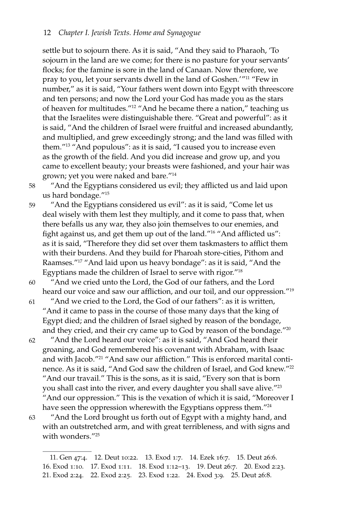settle but to sojourn there. As it is said, "And they said to Pharaoh, 'To sojourn in the land are we come; for there is no pasture for your servants' flocks; for the famine is sore in the land of Canaan. Now therefore, we pray to you, let your servants dwell in the land of Goshen.'"11 "Few in number," as it is said, "Your fathers went down into Egypt with threescore and ten persons; and now the Lord your God has made you as the stars of heaven for multitudes."12 "And he became there a nation," teaching us that the Israelites were distinguishable there. "Great and powerful": as it is said, "And the children of Israel were fruitful and increased abundantly, and multiplied, and grew exceedingly strong; and the land was filled with them."13 "And populous": as it is said, "I caused you to increase even as the growth of the field. And you did increase and grow up, and you came to excellent beauty; your breasts were fashioned, and your hair was grown; yet you were naked and bare."14

58

"And the Egyptians considered us evil; they afflicted us and laid upon us hard bondage."15

59 "And the Egyptians considered us evil": as it is said, "Come let us deal wisely with them lest they multiply, and it come to pass that, when there befalls us any war, they also join themselves to our enemies, and fight against us, and get them up out of the land."16 "And afflicted us": as it is said, "Therefore they did set over them taskmasters to afflict them with their burdens. And they build for Pharoah store-cities, Pithom and Raamses."17 "And laid upon us heavy bondage": as it is said, "And the Egyptians made the children of Israel to serve with rigor."18

60 "And we cried unto the Lord, the God of our fathers, and the Lord heard our voice and saw our affliction, and our toil, and our oppression."<sup>19</sup>

61 "And we cried to the Lord, the God of our fathers": as it is written, "And it came to pass in the course of those many days that the king of Egypt died; and the children of Israel sighed by reason of the bondage, and they cried, and their cry came up to God by reason of the bondage."20

62 "And the Lord heard our voice": as it is said, "And God heard their groaning, and God remembered his covenant with Abraham, with Isaac and with Jacob."<sup>21</sup> "And saw our affliction." This is enforced marital continence. As it is said, "And God saw the children of Israel, and God knew."22 "And our travail." This is the sons, as it is said, "Every son that is born you shall cast into the river, and every daughter you shall save alive."23 "And our oppression." This is the vexation of which it is said, "Moreover I have seen the oppression wherewith the Egyptians oppress them."<sup>24</sup>

63 "And the Lord brought us forth out of Egypt with a mighty hand, and with an outstretched arm, and with great terribleness, and with signs and with wonders."25

<sup>11.</sup> Gen 47:4. 12. Deut 10:22. 13. Exod 1:7. 14. Ezek 16:7. 15. Deut 26:6. 16. Exod 1:10. 17. Exod 1:11. 18. Exod 1:12–13. 19. Deut 26:7. 20. Exod 2:23. 21. Exod 2:24. 22. Exod 2:25. 23. Exod 1:22. 24. Exod 3:9. 25. Deut 26:8.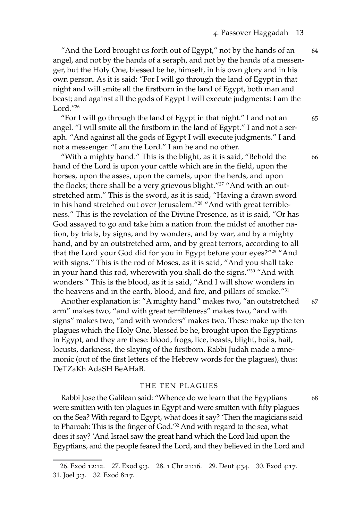"And the Lord brought us forth out of Egypt," not by the hands of an angel, and not by the hands of a seraph, and not by the hands of a messenger, but the Holy One, blessed be he, himself, in his own glory and in his own person. As it is said: "For I will go through the land of Egypt in that night and will smite all the firstborn in the land of Egypt, both man and beast; and against all the gods of Egypt I will execute judgments: I am the Lord."26

"For I will go through the land of Egypt in that night." I and not an angel. "I will smite all the firstborn in the land of Egypt." I and not a seraph. "And against all the gods of Egypt I will execute judgments." I and not a messenger. "I am the Lord." I am he and no other.

"With a mighty hand." This is the blight, as it is said, "Behold the hand of the Lord is upon your cattle which are in the field, upon the horses, upon the asses, upon the camels, upon the herds, and upon the flocks; there shall be a very grievous blight."<sup>27</sup> "And with an outstretched arm." This is the sword, as it is said, "Having a drawn sword in his hand stretched out over Jerusalem."28 "And with great terribleness." This is the revelation of the Divine Presence, as it is said, "Or has God assayed to go and take him a nation from the midst of another nation, by trials, by signs, and by wonders, and by war, and by a mighty hand, and by an outstretched arm, and by great terrors, according to all that the Lord your God did for you in Egypt before your eyes?"<sup>29</sup> "And with signs." This is the rod of Moses, as it is said, "And you shall take in your hand this rod, wherewith you shall do the signs."30 "And with wonders." This is the blood, as it is said, "And I will show wonders in the heavens and in the earth, blood, and fire, and pillars of smoke."31

67 Another explanation is: "A mighty hand" makes two, "an outstretched arm" makes two, "and with great terribleness" makes two, "and with signs" makes two, "and with wonders" makes two. These make up the ten plagues which the Holy One, blessed be he, brought upon the Egyptians in Egypt, and they are these: blood, frogs, lice, beasts, blight, boils, hail, locusts, darkness, the slaying of the firstborn. Rabbi Judah made a mnemonic (out of the first letters of the Hebrew words for the plagues), thus: DeTZaKh AdaSH BeAHaB.

#### THE TEN PLAGUES

Rabbi Jose the Galilean said: "Whence do we learn that the Egyptians were smitten with ten plagues in Egypt and were smitten with fifty plagues on the Sea? With regard to Egypt, what does it say? 'Then the magicians said to Pharoah: This is the finger of God.<sup>'32</sup> And with regard to the sea, what does it say? 'And Israel saw the great hand which the Lord laid upon the Egyptians, and the people feared the Lord, and they believed in the Lord and

64

66

65

68

<sup>26.</sup> Exod 12:12. 27. Exod 9:3. 28. 1 Chr 21:16. 29. Deut 4:34. 30. Exod 4:17. 31. Joel 3:3. 32. Exod 8:17.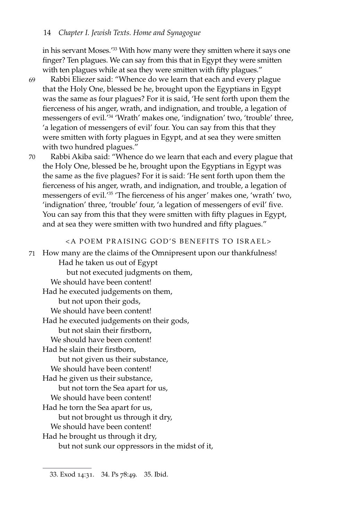in his servant Moses.'33 With how many were they smitten where it says one finger? Ten plagues. We can say from this that in Egypt they were smitten with ten plagues while at sea they were smitten with fifty plagues."

69

Rabbi Eliezer said: "Whence do we learn that each and every plague that the Holy One, blessed be he, brought upon the Egyptians in Egypt was the same as four plagues? For it is said, 'He sent forth upon them the fierceness of his anger, wrath, and indignation, and trouble, a legation of messengers of evil.'34 'Wrath' makes one, 'indignation' two, 'trouble' three, 'a legation of messengers of evil' four. You can say from this that they were smitten with forty plagues in Egypt, and at sea they were smitten with two hundred plagues."

70 Rabbi Akiba said: "Whence do we learn that each and every plague that the Holy One, blessed be he, brought upon the Egyptians in Egypt was the same as the five plagues? For it is said: 'He sent forth upon them the fierceness of his anger, wrath, and indignation, and trouble, a legation of messengers of evil.'35 'The fierceness of his anger' makes one, 'wrath' two, 'indignation' three, 'trouble' four, 'a legation of messengers of evil' five. You can say from this that they were smitten with fifty plagues in Egypt, and at sea they were smitten with two hundred and fifty plagues."

#### <A POEM PRAISING GOD'S BENEFITS TO ISRAEL>

| 71 How many are the claims of the Omnipresent upon our thankfulness! |
|----------------------------------------------------------------------|
| Had he taken us out of Egypt                                         |
| but not executed judgments on them,                                  |
| We should have been content!                                         |
| Had he executed judgements on them,                                  |
| but not upon their gods,                                             |
| We should have been content!                                         |
| Had he executed judgements on their gods,                            |
| but not slain their firstborn,                                       |
| We should have been content!                                         |
| Had he slain their firstborn,                                        |
| but not given us their substance,                                    |
| We should have been content!                                         |
| Had he given us their substance,                                     |
| but not torn the Sea apart for us,                                   |
| We should have been content!                                         |
| Had he torn the Sea apart for us,                                    |
| but not brought us through it dry,                                   |
| We should have been content!                                         |
| Had he brought us through it dry,                                    |
| but not sunk our oppressors in the midst of it,                      |
|                                                                      |

<sup>33.</sup> Exod 14:31. 34. Ps 78:49. 35. Ibid.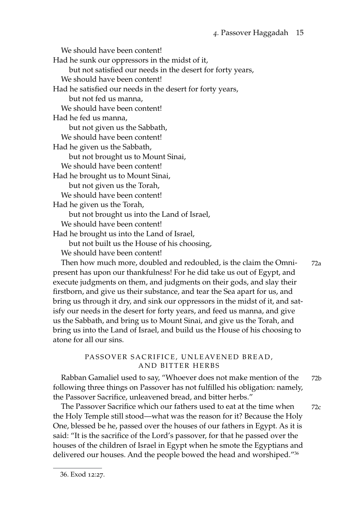We should have been content! Had he sunk our oppressors in the midst of it, but not satisfied our needs in the desert for forty years, We should have been content! Had he satisfied our needs in the desert for forty years, but not fed us manna, We should have been content! Had he fed us manna, but not given us the Sabbath, We should have been content! Had he given us the Sabbath, but not brought us to Mount Sinai, We should have been content! Had he brought us to Mount Sinai, but not given us the Torah, We should have been content! Had he given us the Torah, but not brought us into the Land of Israel, We should have been content! Had he brought us into the Land of Israel, but not built us the House of his choosing, We should have been content!

72a Then how much more, doubled and redoubled, is the claim the Omnipresent has upon our thankfulness! For he did take us out of Egypt, and execute judgments on them, and judgments on their gods, and slay their firstborn, and give us their substance, and tear the Sea apart for us, and bring us through it dry, and sink our oppressors in the midst of it, and satisfy our needs in the desert for forty years, and feed us manna, and give us the Sabbath, and bring us to Mount Sinai, and give us the Torah, and bring us into the Land of Israel, and build us the House of his choosing to atone for all our sins.

> PASSOVER SACRIFICE, UNLEAVENED BREAD, AND BITTER HERBS

72b Rabban Gamaliel used to say, "Whoever does not make mention of the following three things on Passover has not fulfilled his obligation: namely, the Passover Sacrifice, unleavened bread, and bitter herbs."

72c The Passover Sacrifice which our fathers used to eat at the time when the Holy Temple still stood—what was the reason for it? Because the Holy One, blessed be he, passed over the houses of our fathers in Egypt. As it is said: "It is the sacrifice of the Lord's passover, for that he passed over the houses of the children of Israel in Egypt when he smote the Egyptians and delivered our houses. And the people bowed the head and worshiped."36

<sup>36.</sup> Exod 12:27.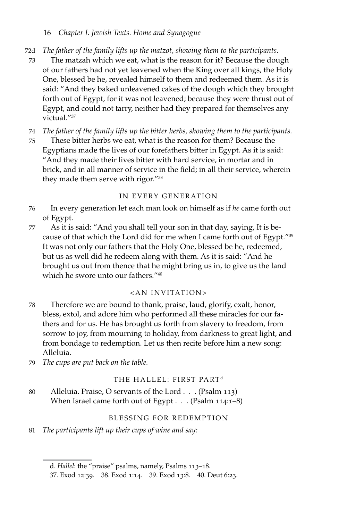# 16 *Chapter I. Jewish Texts. Home and Synagogue*

- 72d *The father of the family lifts up the matzot, showing them to the participants*.
- 73 The matzah which we eat, what is the reason for it? Because the dough of our fathers had not yet leavened when the King over all kings, the Holy One, blessed be he, revealed himself to them and redeemed them. As it is said: "And they baked unleavened cakes of the dough which they brought forth out of Egypt, for it was not leavened; because they were thrust out of Egypt, and could not tarry, neither had they prepared for themselves any victual."37
- 74 *The father of the family lifts up the bitter herbs, showing them to the participants.*
- 75 These bitter herbs we eat, what is the reason for them? Because the Egyptians made the lives of our forefathers bitter in Egypt. As it is said: "And they made their lives bitter with hard service, in mortar and in brick, and in all manner of service in the field; in all their service, wherein they made them serve with rigor."<sup>38</sup>

## IN EVERY GENERATION

- 76 In every generation let each man look on himself as if *he* came forth out of Egypt.
- 77 As it is said: "And you shall tell your son in that day, saying, It is because of that which the Lord did for me when I came forth out of Egypt."39 It was not only our fathers that the Holy One, blessed be he, redeemed, but us as well did he redeem along with them. As it is said: "And he brought us out from thence that he might bring us in, to give us the land which he swore unto our fathers."40

### $\langle$ AN INVITATION>

- 78 Therefore we are bound to thank, praise, laud, glorify, exalt, honor, bless, extol, and adore him who performed all these miracles for our fathers and for us. He has brought us forth from slavery to freedom, from sorrow to joy, from mourning to holiday, from darkness to great light, and from bondage to redemption. Let us then recite before him a new song: Alleluia.
- 79 *The cups are put back on the table.*

# THE HALLEL: FIRST PART<sup>d</sup>

80 Alleluia. Praise, O servants of the Lord . . . (Psalm 113) When Israel came forth out of Egypt . . . (Psalm 114:1-8)

### BLESSING FOR REDEMPTION

81 *The participants lift up their cups of wine and say:*

d. *Hallel*: the "praise" psalms, namely, Psalms 113–18.

<sup>37.</sup> Exod 12:39. 38. Exod 1:14. 39. Exod 13:8. 40. Deut 6:23.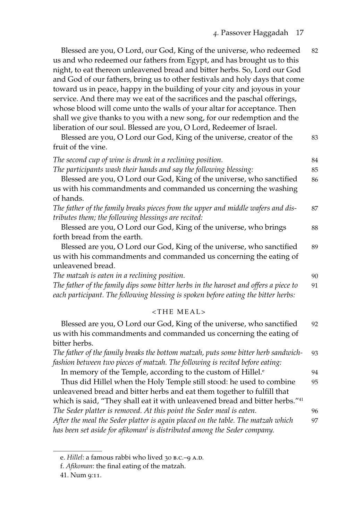96

82 Blessed are you, O Lord, our God, King of the universe, who redeemed us and who redeemed our fathers from Egypt, and has brought us to this night, to eat thereon unleavened bread and bitter herbs. So, Lord our God and God of our fathers, bring us to other festivals and holy days that come toward us in peace, happy in the building of your city and joyous in your service. And there may we eat of the sacrifices and the paschal offerings, whose blood will come unto the walls of your altar for acceptance. Then shall we give thanks to you with a new song, for our redemption and the liberation of our soul. Blessed are you, O Lord, Redeemer of Israel.

83 Blessed are you, O Lord our God, King of the universe, creator of the fruit of the vine.

84 85 86 87 88 89 90 *The second cup of wine is drunk in a reclining position. The participants wash their hands and say the following blessing:* Blessed are you, O Lord our God, King of the universe, who sanctified us with his commandments and commanded us concerning the washing of hands. *The father of the family breaks pieces from the upper and middle wafers and distributes them; the following blessings are recited:* Blessed are you, O Lord our God, King of the universe, who brings forth bread from the earth. Blessed are you, O Lord our God, King of the universe, who sanctified us with his commandments and commanded us concerning the eating of unleavened bread. *The matzah is eaten in a reclining position.*

91 *The father of the family dips some bitter herbs in the haroset and offers a piece to each participant. The following blessing is spoken before eating the bitter herbs:*

#### <THE MEAL>

| Blessed are you, O Lord our God, King of the universe, who sanctified                    | 92 |
|------------------------------------------------------------------------------------------|----|
| us with his commandments and commanded us concerning the eating of                       |    |
| bitter herbs.                                                                            |    |
| The father of the family breaks the bottom matzah, puts some bitter herb sandwich-       | 93 |
| fashion between two pieces of matzah. The following is recited before eating:            |    |
| In memory of the Temple, according to the custom of Hillel. <sup>e</sup>                 | 94 |
| Thus did Hillel when the Holy Temple still stood: he used to combine                     | 95 |
| unleavened bread and bitter herbs and eat them together to fulfill that                  |    |
| which is said, "They shall eat it with unleavened bread and bitter herbs." <sup>41</sup> |    |

*The Seder platter is removed. At this point the Seder meal is eaten. After the meal the Seder platter is again placed on the table. The matzah which* 

97 *has been set aside for afikoman*<sup>f</sup>  *is distributed among the Seder company.*

e. *Hillel*: a famous rabbi who lived 30 B.C.-9 A.D.

f. *Afikoman*: the final eating of the matzah.

<sup>41.</sup> Num 9:11.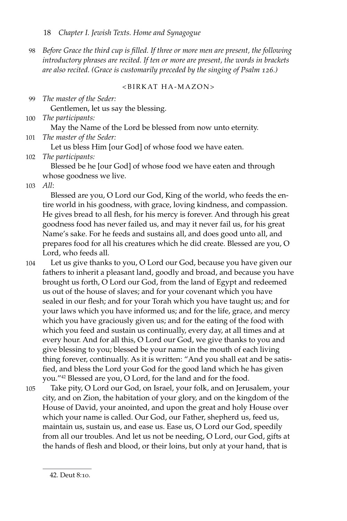98 *Before Grace the third cup is filled. If three or more men are present, the following introductory phrases are recited. If ten or more are present, the words in brackets are also recited. (Grace is customarily preceded by the singing of Psalm 126.)*

 $\langle$ BIRKAT HA-MAZON>

99 *The master of the Seder:* Gentlemen, let us say the blessing.

100 *The participants:*

May the Name of the Lord be blessed from now unto eternity.

101 *The master of the Seder:*

Let us bless Him [our God] of whose food we have eaten.

102 *The participants:*

> Blessed be he [our God] of whose food we have eaten and through whose goodness we live.

103 *All*:

Blessed are you, O Lord our God, King of the world, who feeds the entire world in his goodness, with grace, loving kindness, and compassion. He gives bread to all flesh, for his mercy is forever. And through his great goodness food has never failed us, and may it never fail us, for his great Name's sake. For he feeds and sustains all, and does good unto all, and prepares food for all his creatures which he did create. Blessed are you, O Lord, who feeds all.

- 104 Let us give thanks to you, O Lord our God, because you have given our fathers to inherit a pleasant land, goodly and broad, and because you have brought us forth, O Lord our God, from the land of Egypt and redeemed us out of the house of slaves; and for your covenant which you have sealed in our flesh; and for your Torah which you have taught us; and for your laws which you have informed us; and for the life, grace, and mercy which you have graciously given us; and for the eating of the food with which you feed and sustain us continually, every day, at all times and at every hour. And for all this, O Lord our God, we give thanks to you and give blessing to you; blessed be your name in the mouth of each living thing forever, continually. As it is written: "And you shall eat and be satisfied, and bless the Lord your God for the good land which he has given you."42 Blessed are you, O Lord, for the land and for the food.
- 105 Take pity, O Lord our God, on Israel, your folk, and on Jerusalem, your city, and on Zion, the habitation of your glory, and on the kingdom of the House of David, your anointed, and upon the great and holy House over which your name is called. Our God, our Father, shepherd us, feed us, maintain us, sustain us, and ease us. Ease us, O Lord our God, speedily from all our troubles. And let us not be needing, O Lord, our God, gifts at the hands of flesh and blood, or their loins, but only at your hand, that is

<sup>42.</sup> Deut 8:10.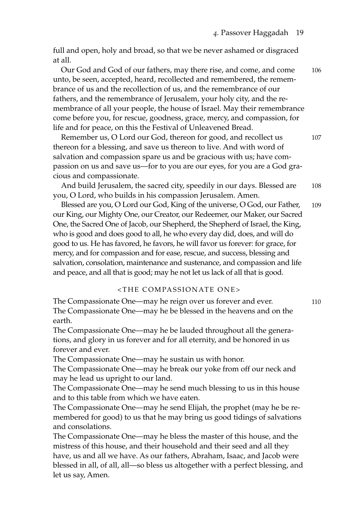full and open, holy and broad, so that we be never ashamed or disgraced at all.

106 Our God and God of our fathers, may there rise, and come, and come unto, be seen, accepted, heard, recollected and remembered, the remembrance of us and the recollection of us, and the remembrance of our fathers, and the remembrance of Jerusalem, your holy city, and the remembrance of all your people, the house of Israel. May their remembrance come before you, for rescue, goodness, grace, mercy, and compassion, for life and for peace, on this the Festival of Unleavened Bread.

Remember us, O Lord our God, thereon for good, and recollect us thereon for a blessing, and save us thereon to live. And with word of salvation and compassion spare us and be gracious with us; have compassion on us and save us—for to you are our eyes, for you are a God gracious and compassionate.

108 And build Jerusalem, the sacred city, speedily in our days. Blessed are you, O Lord, who builds in his compassion Jerusalem. Amen.

109 Blessed are you, O Lord our God, King of the universe, O God, our Father, our King, our Mighty One, our Creator, our Redeemer, our Maker, our Sacred One, the Sacred One of Jacob, our Shepherd, the Shepherd of Israel, the King, who is good and does good to all, he who every day did, does, and will do good to us. He has favored, he favors, he will favor us forever: for grace, for mercy, and for compassion and for ease, rescue, and success, blessing and salvation, consolation, maintenance and sustenance, and compassion and life and peace, and all that is good; may he not let us lack of all that is good.

#### <THE COMPASSIONATE ONE>

The Compassionate One—may he reign over us forever and ever. The Compassionate One—may he be blessed in the heavens and on the earth.

The Compassionate One—may he be lauded throughout all the generations, and glory in us forever and for all eternity, and be honored in us forever and ever.

The Compassionate One—may he sustain us with honor.

The Compassionate One—may he break our yoke from off our neck and may he lead us upright to our land.

The Compassionate One—may he send much blessing to us in this house and to this table from which we have eaten.

The Compassionate One—may he send Elijah, the prophet (may he be remembered for good) to us that he may bring us good tidings of salvations and consolations.

The Compassionate One—may he bless the master of this house, and the mistress of this house, and their household and their seed and all they have, us and all we have. As our fathers, Abraham, Isaac, and Jacob were blessed in all, of all, all—so bless us altogether with a perfect blessing, and let us say, Amen.

107

110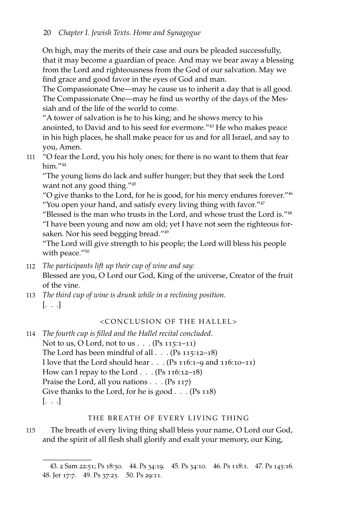On high, may the merits of their case and ours be pleaded successfully, that it may become a guardian of peace. And may we bear away a blessing from the Lord and righteousness from the God of our salvation. May we find grace and good favor in the eyes of God and man.

The Compassionate One—may he cause us to inherit a day that is all good. The Compassionate One—may he find us worthy of the days of the Messiah and of the life of the world to come.

"A tower of salvation is he to his king; and he shows mercy to his anointed, to David and to his seed for evermore."43 He who makes peace in his high places, he shall make peace for us and for all Israel, and say to you, Amen.

111 "O fear the Lord, you his holy ones; for there is no want to them that fear him."44

"The young lions do lack and suffer hunger; but they that seek the Lord want not any good thing."45

"O give thanks to the Lord, for he is good, for his mercy endures forever."46 "You open your hand, and satisfy every living thing with favor."<sup>47</sup>

"Blessed is the man who trusts in the Lord, and whose trust the Lord is."48 "I have been young and now am old; yet I have not seen the righteous forsaken. Nor his seed begging bread."49

"The Lord will give strength to his people; the Lord will bless his people with peace."<sup>50</sup>

- 112 *The participants lift up their cup of wine and say:* Blessed are you, O Lord our God, King of the universe, Creator of the fruit of the vine.
- 113 *The third cup of wine is drunk while in a reclining position.* [. . .]

# <CONCLUSION OF THE HALLEL>

114 *The fourth cup is filled and the Hallel recital concluded.* Not to us, O Lord, not to us . . . (Ps 115:1–11) The Lord has been mindful of all . . . (Ps 115:12–18) I love that the Lord should hear . . . (Ps 116:1–9 and 116:10–11) How can I repay to the Lord . . . (Ps 116:12–18) Praise the Lord, all you nations . . . (Ps 117) Give thanks to the Lord, for he is good . . . (Ps 118) [. . .]

# THE BREATH OF EVERY LIVING THING

115 The breath of every living thing shall bless your name, O Lord our God, and the spirit of all flesh shall glorify and exalt your memory, our King,

<sup>43. 2</sup> Sam 22:51; Ps 18:50. 44. Ps 34:19. 45. Ps 34:10. 46. Ps 118:1. 47. Ps 145:16. 48. Jer 17:7. 49. Ps 37:25. 50. Ps 29:11.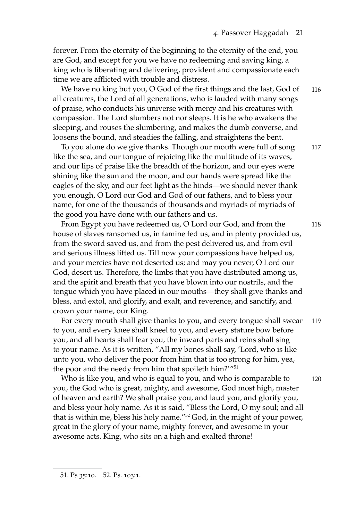forever. From the eternity of the beginning to the eternity of the end, you are God, and except for you we have no redeeming and saving king, a king who is liberating and delivering, provident and compassionate each time we are afflicted with trouble and distress.

116 We have no king but you, O God of the first things and the last, God of all creatures, the Lord of all generations, who is lauded with many songs of praise, who conducts his universe with mercy and his creatures with compassion. The Lord slumbers not nor sleeps. It is he who awakens the sleeping, and rouses the slumbering, and makes the dumb converse, and loosens the bound, and steadies the falling, and straightens the bent.

To you alone do we give thanks. Though our mouth were full of song like the sea, and our tongue of rejoicing like the multitude of its waves, and our lips of praise like the breadth of the horizon, and our eyes were shining like the sun and the moon, and our hands were spread like the eagles of the sky, and our feet light as the hinds—we should never thank you enough, O Lord our God and God of our fathers, and to bless your name, for one of the thousands of thousands and myriads of myriads of the good you have done with our fathers and us.

From Egypt you have redeemed us, O Lord our God, and from the house of slaves ransomed us, in famine fed us, and in plenty provided us, from the sword saved us, and from the pest delivered us, and from evil and serious illness lifted us. Till now your compassions have helped us, and your mercies have not deserted us; and may you never, O Lord our God, desert us. Therefore, the limbs that you have distributed among us, and the spirit and breath that you have blown into our nostrils, and the tongue which you have placed in our mouths—they shall give thanks and bless, and extol, and glorify, and exalt, and reverence, and sanctify, and crown your name, our King.

119 For every mouth shall give thanks to you, and every tongue shall swear to you, and every knee shall kneel to you, and every stature bow before you, and all hearts shall fear you, the inward parts and reins shall sing to your name. As it is written, "All my bones shall say, 'Lord, who is like unto you, who deliver the poor from him that is too strong for him, yea, the poor and the needy from him that spoileth him?'"<sup>51</sup>

Who is like you, and who is equal to you, and who is comparable to you, the God who is great, mighty, and awesome, God most high, master of heaven and earth? We shall praise you, and laud you, and glorify you, and bless your holy name. As it is said, "Bless the Lord, O my soul; and all that is within me, bless his holy name."52 God, in the might of your power, great in the glory of your name, mighty forever, and awesome in your awesome acts. King, who sits on a high and exalted throne!

117

118

120

<sup>51.</sup> Ps 35:10. 52. Ps. 103:1.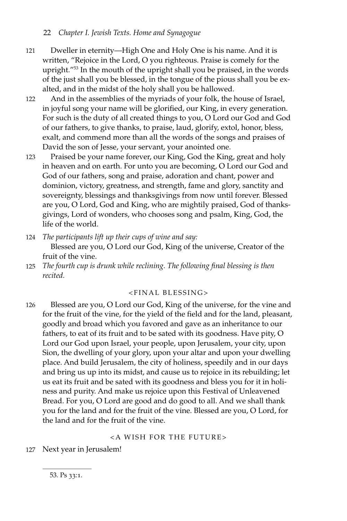- 121 Dweller in eternity—High One and Holy One is his name. And it is written, "Rejoice in the Lord, O you righteous. Praise is comely for the upright."53 In the mouth of the upright shall you be praised, in the words of the just shall you be blessed, in the tongue of the pious shall you be exalted, and in the midst of the holy shall you be hallowed.
- 122 And in the assemblies of the myriads of your folk, the house of Israel, in joyful song your name will be glorified, our King, in every generation. For such is the duty of all created things to you, O Lord our God and God of our fathers, to give thanks, to praise, laud, glorify, extol, honor, bless, exalt, and commend more than all the words of the songs and praises of David the son of Jesse, your servant, your anointed one.
- 123 Praised be your name forever, our King, God the King, great and holy in heaven and on earth. For unto you are becoming, O Lord our God and God of our fathers, song and praise, adoration and chant, power and dominion, victory, greatness, and strength, fame and glory, sanctity and sovereignty, blessings and thanksgivings from now until forever. Blessed are you, O Lord, God and King, who are mightily praised, God of thanksgivings, Lord of wonders, who chooses song and psalm, King, God, the life of the world.
- 124 *The participants lift up their cups of wine and say:* Blessed are you, O Lord our God, King of the universe, Creator of the fruit of the vine.
- 125 *The fourth cup is drunk while reclining. The following final blessing is then recited.*

# < F INAL BLESSIN G >

126 Blessed are you, O Lord our God, King of the universe, for the vine and for the fruit of the vine, for the yield of the field and for the land, pleasant, goodly and broad which you favored and gave as an inheritance to our fathers, to eat of its fruit and to be sated with its goodness. Have pity, O Lord our God upon Israel, your people, upon Jerusalem, your city, upon Sion, the dwelling of your glory, upon your altar and upon your dwelling place. And build Jerusalem, the city of holiness, speedily and in our days and bring us up into its midst, and cause us to rejoice in its rebuilding; let us eat its fruit and be sated with its goodness and bless you for it in holiness and purity. And make us rejoice upon this Festival of Unleavened Bread. For you, O Lord are good and do good to all. And we shall thank you for the land and for the fruit of the vine. Blessed are you, O Lord, for the land and for the fruit of the vine.

# <A WISH FOR THE FUTURE>

127 Next year in Jerusalem!

53. Ps 33:1.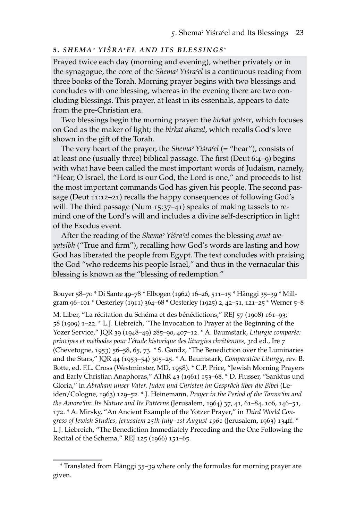#### **5.** *Shema < Yi fi r a >el and Its Blessings* †

Prayed twice each day (morning and evening), whether privately or in the synagogue, the core of the *Shema< Yi∞ra>el* is a continuous reading from three books of the Torah. Morning prayer begins with two blessings and concludes with one blessing, whereas in the evening there are two concluding blessings. This prayer, at least in its essentials, appears to date from the pre-Christian era.

Two blessings begin the morning prayer: the *birkat yotser*, which focuses on God as the maker of light; the *birkat ahaval*, which recalls God's love shown in the gift of the Torah.

The very heart of the prayer, the *Shema< Yi∞ra>el* (= "hear"), consists of at least one (usually three) biblical passage. The first (Deut 6:4–9) begins with what have been called the most important words of Judaism, namely, "Hear, O Israel, the Lord is our God, the Lord is one," and proceeds to list the most important commands God has given his people. The second passage (Deut 11:12–21) recalls the happy consequences of following God's will. The third passage (Num 15:37–41) speaks of making tassels to remind one of the Lord's will and includes a divine self-description in light of the Exodus event.

After the reading of the *Shema< Yi∞ra>el* comes the blessing *emet weyatsibh* ("True and firm"), recalling how God's words are lasting and how God has liberated the people from Egypt. The text concludes with praising the God "who redeems his people Israel," and thus in the vernacular this blessing is known as the "blessing of redemption."

Bouyer 58–70 \* Di Sante 49–78 \* Elbogen (1962) 16–26, 511–15 \* Hänggi 35–39 \* Millgram 96–101 \* Oesterley (1911) 364–68 \* Oesterley (1925) 2, 42–51, 121–25 \* Werner 5–8

M. Liber, "La récitation du Schéma et des bénédictions," REJ 57 (1908) 161–93; 58 (1909) 1–22. \* L.J. Liebreich, "The Invocation to Prayer at the Beginning of the Yozer Service," JQR 39 (1948–49) 285–90, 407–12. \* A. Baumstark, *Liturgie comparée: principes et méthodes pour l'étude historique des liturgies chrétiennes*, 3rd ed., Ire 7 (Chevetogne, 1953) 56–58, 65, 73. \* S. Gandz, "The Benediction over the Luminaries and the Stars," JQR 44 (1953–54) 305–25. \* A. Baumstark, *Comparative Liturgy*, rev. B. Botte, ed. F.L. Cross (Westminster, MD, 1958). \* C.P. Price, "Jewish Morning Prayers and Early Christian Anaphoras," AThR 43 (1961) 153–68. \* D. Flusser, "Sanktus und Gloria," in *Abraham unser Vater. Juden und Christen im Gespräch über die Bibel* (Leiden/Cologne, 1963) 129–52. \* J. Heinemann, *Prayer in the Period of the Tanna<im and the Amora<im: Its Nature and Its Patterns* (Jerusalem, 1964) 37, 41, 61–84, 106, 146–51, 172. \* A. Mirsky, "An Ancient Example of the Yotzer Prayer," in *Third World Congress of Jewish Studies, Jerusalem 25th July–1st August 1961* (Jerusalem, 1963) 134ff. \* L.J. Liebreich, "The Benediction Immediately Preceding and the One Following the Recital of the Schema," REJ 125 (1966) 151–65.

<sup>†</sup> Translated from Hänggi 35–39 where only the formulas for morning prayer are given.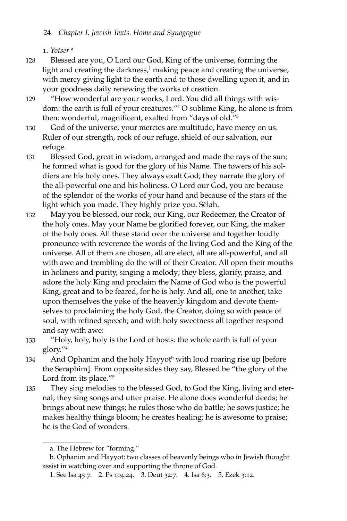1. *Yotser* <sup>a</sup>

- 128 Blessed are you, O Lord our God, King of the universe, forming the light and creating the darkness,<sup>1</sup> making peace and creating the universe, with mercy giving light to the earth and to those dwelling upon it, and in your goodness daily renewing the works of creation.
- 129 "How wonderful are your works, Lord. You did all things with wisdom: the earth is full of your creatures."2 O sublime King, he alone is from then: wonderful, magnificent, exalted from "days of old."3
- 130 God of the universe, your mercies are multitude, have mercy on us. Ruler of our strength, rock of our refuge, shield of our salvation, our refuge.
- 131 Blessed God, great in wisdom, arranged and made the rays of the sun; he formed what is good for the glory of his Name. The towers of his soldiers are his holy ones. They always exalt God; they narrate the glory of the all-powerful one and his holiness. O Lord our God, you are because of the splendor of the works of your hand and because of the stars of the light which you made. They highly prize you. Sèlah.
- 132 May you be blessed, our rock, our King, our Redeemer, the Creator of the holy ones. May your Name be glorified forever, our King, the maker of the holy ones. All these stand over the universe and together loudly pronounce with reverence the words of the living God and the King of the universe. All of them are chosen, all are elect, all are all-powerful, and all with awe and trembling do the will of their Creator. All open their mouths in holiness and purity, singing a melody; they bless, glorify, praise, and adore the holy King and proclaim the Name of God who is the powerful King, great and to be feared, for he is holy. And all, one to another, take upon themselves the yoke of the heavenly kingdom and devote themselves to proclaiming the holy God, the Creator, doing so with peace of soul, with refined speech; and with holy sweetness all together respond and say with awe:
- 133 "Holy, holy, holy is the Lord of hosts: the whole earth is full of your glory."4
- 134 And Ophanim and the holy Hayyot<sup>b</sup> with loud roaring rise up [before the Seraphim]. From opposite sides they say, Blessed be "the glory of the Lord from its place."5
- 135 They sing melodies to the blessed God, to God the King, living and eternal; they sing songs and utter praise. He alone does wonderful deeds; he brings about new things; he rules those who do battle; he sows justice; he makes healthy things bloom; he creates healing; he is awesome to praise; he is the God of wonders.

a. The Hebrew for "forming."

b. Ophanim and Hayyot: two classes of heavenly beings who in Jewish thought assist in watching over and supporting the throne of God.

<sup>1.</sup> See Isa 45:7. 2. Ps 104:24. 3. Deut 32:7. 4. Isa 6:3. 5. Ezek 3:12.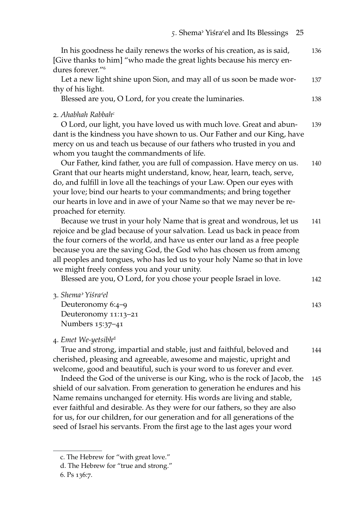143

| In his goodness he daily renews the works of his creation, as is said,<br>[Give thanks to him] "who made the great lights because his mercy en- | 136 |
|-------------------------------------------------------------------------------------------------------------------------------------------------|-----|
| dures forever." <sup>6</sup>                                                                                                                    |     |
| Let a new light shine upon Sion, and may all of us soon be made wor-                                                                            | 137 |
| thy of his light.                                                                                                                               |     |
| Blessed are you, O Lord, for you create the luminaries.                                                                                         | 138 |
| 2. Ahabhah Rabbah <sup>c</sup>                                                                                                                  |     |
| O Lord, our light, you have loved us with much love. Great and abun-                                                                            | 139 |
| dant is the kindness you have shown to us. Our Father and our King, have                                                                        |     |
| mercy on us and teach us because of our fathers who trusted in you and                                                                          |     |
| whom you taught the commandments of life.                                                                                                       |     |
| Our Father, kind father, you are full of compassion. Have mercy on us.                                                                          | 140 |
| Grant that our hearts might understand, know, hear, learn, teach, serve,                                                                        |     |
| do, and fulfill in love all the teachings of your Law. Open our eyes with                                                                       |     |
| your love; bind our hearts to your commandments; and bring together                                                                             |     |
| our hearts in love and in awe of your Name so that we may never be re-                                                                          |     |
| proached for eternity.                                                                                                                          |     |
| Because we trust in your holy Name that is great and wondrous, let us                                                                           | 141 |
| rejoice and be glad because of your salvation. Lead us back in peace from                                                                       |     |
| the four corners of the world, and have us enter our land as a free people                                                                      |     |
| because you are the saving God, the God who has chosen us from among                                                                            |     |
| all peoples and tongues, who has led us to your holy Name so that in love                                                                       |     |
| we might freely confess you and your unity.                                                                                                     |     |
| Blessed are you, O Lord, for you chose your people Israel in love.                                                                              | 142 |
| 3. Shema <sup>3</sup> Yiśra <sup>c</sup> el                                                                                                     |     |

Deuteronomy 6:4–9 Deuteronomy 11:13–21 Numbers 15:37–41

#### 4. *Emet We-yetsibh*<sup>d</sup>

144 True and strong, impartial and stable, just and faithful, beloved and cherished, pleasing and agreeable, awesome and majestic, upright and welcome, good and beautiful, such is your word to us forever and ever.

145 Indeed the God of the universe is our King, who is the rock of Jacob, the shield of our salvation. From generation to generation he endures and his Name remains unchanged for eternity. His words are living and stable, ever faithful and desirable. As they were for our fathers, so they are also for us, for our children, for our generation and for all generations of the seed of Israel his servants. From the first age to the last ages your word

c. The Hebrew for "with great love."

d. The Hebrew for "true and strong."

<sup>6.</sup> Ps 136:7.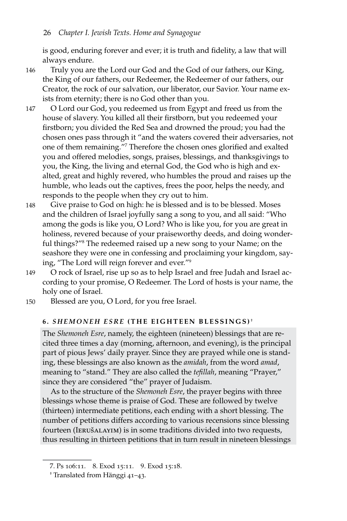is good, enduring forever and ever; it is truth and fidelity, a law that will always endure.

- 146 Truly you are the Lord our God and the God of our fathers, our King, the King of our fathers, our Redeemer, the Redeemer of our fathers, our Creator, the rock of our salvation, our liberator, our Savior. Your name exists from eternity; there is no God other than you.
- 147 O Lord our God, you redeemed us from Egypt and freed us from the house of slavery. You killed all their firstborn, but you redeemed your firstborn; you divided the Red Sea and drowned the proud; you had the chosen ones pass through it "and the waters covered their adversaries, not one of them remaining."7 Therefore the chosen ones glorified and exalted you and offered melodies, songs, praises, blessings, and thanksgivings to you, the King, the living and eternal God, the God who is high and exalted, great and highly revered, who humbles the proud and raises up the humble, who leads out the captives, frees the poor, helps the needy, and responds to the people when they cry out to him.
- 148 Give praise to God on high: he is blessed and is to be blessed. Moses and the children of Israel joyfully sang a song to you, and all said: "Who among the gods is like you, O Lord? Who is like you, for you are great in holiness, revered because of your praiseworthy deeds, and doing wonderful things?"8 The redeemed raised up a new song to your Name; on the seashore they were one in confessing and proclaiming your kingdom, saying, "The Lord will reign forever and ever."9
- 149 O rock of Israel, rise up so as to help Israel and free Judah and Israel according to your promise, O Redeemer. The Lord of hosts is your name, the holy one of Israel.
- 150 Blessed are you, O Lord, for you free Israel.

### **6.** *Shemoneh Esre* **(T he Eighteen Blessings)** †

The *Shemoneh Esre*, namely, the eighteen (nineteen) blessings that are recited three times a day (morning, afternoon, and evening), is the principal part of pious Jews' daily prayer. Since they are prayed while one is standing, these blessings are also known as the *amidah*, from the word *amad*, meaning to "stand." They are also called the *tefillah*, meaning "Prayer," since they are considered "the" prayer of Judaism.

As to the structure of the *Shemoneh Esre*, the prayer begins with three blessings whose theme is praise of God. These are followed by twelve (thirteen) intermediate petitions, each ending with a short blessing. The number of petitions differs according to various recensions since blessing fourteen (Ierušalayim) is in some traditions divided into two requests, thus resulting in thirteen petitions that in turn result in nineteen blessings

<sup>7.</sup> Ps 106:11. 8. Exod 15:11. 9. Exod 15:18.

<sup>†</sup> Translated from Hänggi 41–43.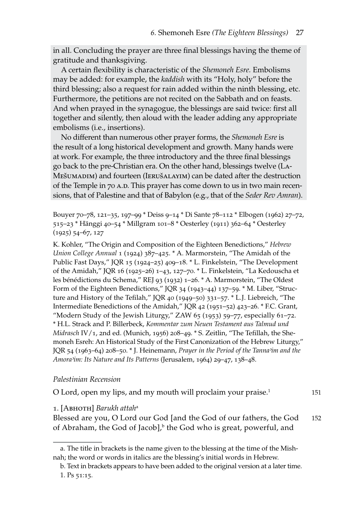in all. Concluding the prayer are three final blessings having the theme of gratitude and thanksgiving.

A certain flexibility is characteristic of the *Shemoneh Esre.* Embolisms may be added: for example, the *kaddish* with its "Holy, holy" before the third blessing; also a request for rain added within the ninth blessing, etc. Furthermore, the petitions are not recited on the Sabbath and on feasts. And when prayed in the synagogue, the blessings are said twice: first all together and silently, then aloud with the leader adding any appropriate embolisms (i.e., insertions).

No different than numerous other prayer forms, the *Shemoneh Esre* is the result of a long historical development and growth. Many hands were at work. For example, the three introductory and the three final blessings go back to the pre-Christian era. On the other hand, blessings twelve (La-MEŠUMADIM) and fourteen (IERUŠALAYIM) can be dated after the destruction of the Temple in 70 A.D. This prayer has come down to us in two main recensions, that of Palestine and that of Babylon (e.g., that of the *Seder Rev Amran*).

Bouyer 70–78, 121–35, 197–99 \* Deiss 9–14 \* Di Sante 78–112 \* Elbogen (1962) 27–72, 515–23 \* Hänggi 40–54 \* Millgram 101–8 \* Oesterley (1911) 362–64 \* Oesterley (1925) 54–67, 127

K. Kohler, "The Origin and Composition of the Eighteen Benedictions," *Hebrew Union College Annual* 1 (1924) 387–425. \* A. Marmorstein, "The Amidah of the Public Fast Days," JQR 15 (1924–25) 409–18. \* L. Finkelstein, "The Development of the Amidah," JQR 16 (1925–26) 1–43, 127–70. \* L. Finkelstein, "La Kedouscha et les bénédictions du Schema," REJ 93 (1932) 1–26. \* A. Marmorstein, "The Oldest Form of the Eighteen Benedictions," JQR 34 (1943–44) 137–59. \* M. Liber, "Structure and History of the Tefilah," JQR 40 (1949–50) 331–57. \* L.J. Liebreich, "The Intermediate Benedictions of the Amidah," JQR 42 (1951–52) 423–26. \* F.C. Grant, "Modern Study of the Jewish Liturgy," ZAW 65 (1953) 59–77, especially 61–72. \* H.L. Strack and P. Billerbeck, *Kommentar zum Neuen Testament aus Talmud und Midrasch* IV/1, 2nd ed. (Munich, 1956) 208–49. \* S. Zeitlin, "The Tefillah, the Shemoneh Esreh: An Historical Study of the First Canonization of the Hebrew Liturgy," JQR 54 (1963–64) 208–50. \* J. Heinemann, *Prayer in the Period of the Tanna<im and the Amora<im: Its Nature and Its Patterns* (Jerusalem, 1964) 29–47, 138–48.

### *Palestinian Recension*

151 O Lord, open my lips, and my mouth will proclaim your praise.1

#### 1. [Abhoth] *Barukh attah*<sup>a</sup>

152 Blessed are you, O Lord our God [and the God of our fathers, the God of Abraham, the God of Jacob],<sup>b</sup> the God who is great, powerful, and

a. The title in brackets is the name given to the blessing at the time of the Mishnah; the word or words in italics are the blessing's initial words in Hebrew.

b. Text in brackets appears to have been added to the original version at a later time.

<sup>1.</sup> Ps 51:15.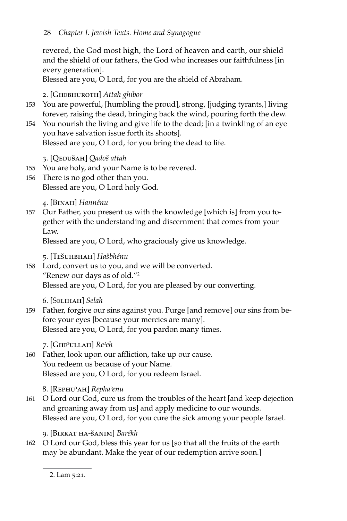revered, the God most high, the Lord of heaven and earth, our shield and the shield of our fathers, the God who increases our faithfulness [in every generation].

Blessed are you, O Lord, for you are the shield of Abraham.

# 2. [Ghebhuroth] *Attah ghibor*

- 153 You are powerful, [humbling the proud], strong, [judging tyrants,] living forever, raising the dead, bringing back the wind, pouring forth the dew.
- 154 You nourish the living and give life to the dead; [in a twinkling of an eye you have salvation issue forth its shoots]. Blessed are you, O Lord, for you bring the dead to life.

# 3. [QEDUŠAH] *Qadoš attah*

- 155 You are holy, and your Name is to be revered.
- 156 There is no god other than you. Blessed are you, O Lord holy God.

4. [Binah] *Hannénu*

157 Our Father, you present us with the knowledge [which is] from you together with the understanding and discernment that comes from your Law.

Blessed are you, O Lord, who graciously give us knowledge.

5. [TeŠuhbhah] *Hašbhénu*

158 Lord, convert us to you, and we will be converted. "Renew our days as of old."2 Blessed are you, O Lord, for you are pleased by our converting.

6. [Selihah] *Selah*

159 Father, forgive our sins against you. Purge [and remove] our sins from before your eyes [because your mercies are many]. Blessed are you, O Lord, for you pardon many times.

7. [Ghe<ullah] *Re<eh*

160 Father, look upon our affliction, take up our cause. You redeem us because of your Name. Blessed are you, O Lord, for you redeem Israel.

8. [REPHU<sup>2</sup>AH] *Repha<sup>2</sup>enu* 

161 O Lord our God, cure us from the troubles of the heart [and keep dejection and groaning away from us] and apply medicine to our wounds. Blessed are you, O Lord, for you cure the sick among your people Israel.

9. [Birkat ha-šanim] *Barékh*

162 O Lord our God, bless this year for us [so that all the fruits of the earth may be abundant. Make the year of our redemption arrive soon.]

<sup>2.</sup> Lam 5:21.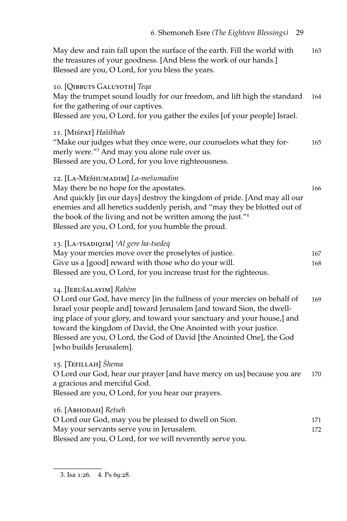163 May dew and rain fall upon the surface of the earth. Fill the world with the treasures of your goodness. [And bless the work of our hands.] Blessed are you, O Lord, for you bless the years.

| 10. [QIBBUTS GALUYOTH] Teqa<br>May the trumpet sound loudly for our freedom, and lift high the standard<br>for the gathering of our captives.<br>Blessed are you, O Lord, for you gather the exiles [of your people] Israel.                                                                                                                                                                                                    | 164        |
|---------------------------------------------------------------------------------------------------------------------------------------------------------------------------------------------------------------------------------------------------------------------------------------------------------------------------------------------------------------------------------------------------------------------------------|------------|
| 11. [MIśpar] Hašibhah<br>"Make our judges what they once were, our counselors what they for-<br>merly were." <sup>3</sup> And may you alone rule over us.<br>Blessed are you, O Lord, for you love righteousness.                                                                                                                                                                                                               | 165        |
| 12. [LA-MEŠHUMADIM] La-mešumadim<br>May there be no hope for the apostates.<br>And quickly [in our days] destroy the kingdom of pride. [And may all our<br>enemies and all heretics suddenly perish, and "may they be blotted out of<br>the book of the living and not be written among the just." <sup>4</sup><br>Blessed are you, O Lord, for you humble the proud.                                                           | 166        |
| 13. [LA-TSADIQIM] 'Al gere ha-tsedeq<br>May your mercies move over the proselytes of justice.<br>Give us a [good] reward with those who do your will.<br>Blessed are you, O Lord, for you increase trust for the righteous.                                                                                                                                                                                                     | 167<br>168 |
| 14. [IERUŠALAYIM] Rahèm<br>O Lord our God, have mercy [in the fullness of your mercies on behalf of<br>Israel your people and] toward Jerusalem [and toward Sion, the dwell-<br>ing place of your glory, and toward your sanctuary and your house,] and<br>toward the kingdom of David, the One Anointed with your justice.<br>Blessed are you, O Lord, the God of David [the Anointed One], the God<br>[who builds Jerusalem]. | 169        |
| 15. [TEFILLAH] Śhema<br>O Lord our God, hear our prayer [and have mercy on us] because you are<br>a gracious and merciful God.<br>Blessed are you, O Lord, for you hear our prayers.                                                                                                                                                                                                                                            | 170        |
| 16. [Авноран] Retseh<br>O Lord our God, may you be pleased to dwell on Sion.<br>May your servants serve you in Jerusalem.<br>Blessed are you, O Lord, for we will reverently serve you.                                                                                                                                                                                                                                         | 171<br>172 |

<sup>3.</sup> Isa 1:26. 4. Ps 69:28.